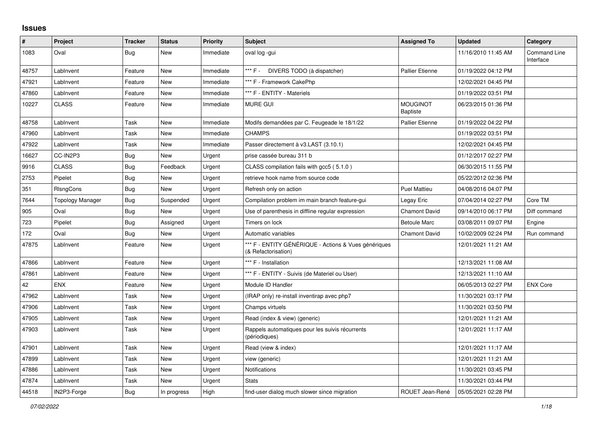## **Issues**

| #     | Project          | <b>Tracker</b> | <b>Status</b> | <b>Priority</b> | <b>Subject</b>                                                              | <b>Assigned To</b>                 | <b>Updated</b>      | Category                  |
|-------|------------------|----------------|---------------|-----------------|-----------------------------------------------------------------------------|------------------------------------|---------------------|---------------------------|
| 1083  | Oval             | Bug            | New           | Immediate       | oval log -gui                                                               |                                    | 11/16/2010 11:45 AM | Command Line<br>Interface |
| 48757 | LabInvent        | Feature        | New           | Immediate       | *** F - DIVERS TODO (à dispatcher)                                          | <b>Pallier Etienne</b>             | 01/19/2022 04:12 PM |                           |
| 47921 | LabInvent        | Feature        | New           | Immediate       | *** F - Framework CakePhp                                                   |                                    | 12/02/2021 04:45 PM |                           |
| 47860 | LabInvent        | Feature        | New           | Immediate       | *** F - ENTITY - Materiels                                                  |                                    | 01/19/2022 03:51 PM |                           |
| 10227 | <b>CLASS</b>     | Feature        | New           | Immediate       | <b>MURE GUI</b>                                                             | <b>MOUGINOT</b><br><b>Baptiste</b> | 06/23/2015 01:36 PM |                           |
| 48758 | LabInvent        | Task           | New           | Immediate       | Modifs demandées par C. Feugeade le 18/1/22                                 | <b>Pallier Etienne</b>             | 01/19/2022 04:22 PM |                           |
| 47960 | LabInvent        | Task           | New           | Immediate       | <b>CHAMPS</b>                                                               |                                    | 01/19/2022 03:51 PM |                           |
| 47922 | LabInvent        | Task           | New           | Immediate       | Passer directement à v3.LAST (3.10.1)                                       |                                    | 12/02/2021 04:45 PM |                           |
| 16627 | CC-IN2P3         | Bug            | New           | Urgent          | prise cassée bureau 311 b                                                   |                                    | 01/12/2017 02:27 PM |                           |
| 9916  | <b>CLASS</b>     | Bug            | Feedback      | Urgent          | CLASS compilation fails with gcc5 (5.1.0)                                   |                                    | 06/30/2015 11:55 PM |                           |
| 2753  | Pipelet          | Bug            | New           | Urgent          | retrieve hook name from source code                                         |                                    | 05/22/2012 02:36 PM |                           |
| 351   | RIsngCons        | Bug            | <b>New</b>    | Urgent          | Refresh only on action                                                      | <b>Puel Mattieu</b>                | 04/08/2016 04:07 PM |                           |
| 7644  | Topology Manager | Bug            | Suspended     | Urgent          | Compilation problem im main branch feature-gui                              | Legay Eric                         | 07/04/2014 02:27 PM | Core TM                   |
| 905   | Oval             | <b>Bug</b>     | <b>New</b>    | Urgent          | Use of parenthesis in diffline regular expression                           | <b>Chamont David</b>               | 09/14/2010 06:17 PM | Diff command              |
| 723   | Pipelet          | Bug            | Assigned      | Urgent          | Timers on lock                                                              | <b>Betoule Marc</b>                | 03/08/2011 09:07 PM | Engine                    |
| 172   | Oval             | Bug            | <b>New</b>    | Urgent          | Automatic variables                                                         | <b>Chamont David</b>               | 10/02/2009 02:24 PM | Run command               |
| 47875 | LabInvent        | Feature        | New           | Urgent          | *** F - ENTITY GÉNÉRIQUE - Actions & Vues génériques<br>(& Refactorisation) |                                    | 12/01/2021 11:21 AM |                           |
| 47866 | LabInvent        | Feature        | New           | Urgent          | *** F - Installation                                                        |                                    | 12/13/2021 11:08 AM |                           |
| 47861 | LabInvent        | Feature        | New           | Urgent          | *** F - ENTITY - Suivis (de Materiel ou User)                               |                                    | 12/13/2021 11:10 AM |                           |
| 42    | <b>ENX</b>       | Feature        | New           | Urgent          | Module ID Handler                                                           |                                    | 06/05/2013 02:27 PM | <b>ENX Core</b>           |
| 47962 | LabInvent        | Task           | <b>New</b>    | Urgent          | (IRAP only) re-install inventirap avec php7                                 |                                    | 11/30/2021 03:17 PM |                           |
| 47906 | LabInvent        | Task           | New           | Urgent          | Champs virtuels                                                             |                                    | 11/30/2021 03:50 PM |                           |
| 47905 | LabInvent        | Task           | New           | Urgent          | Read (index & view) (generic)                                               |                                    | 12/01/2021 11:21 AM |                           |
| 47903 | LabInvent        | Task           | New           | Urgent          | Rappels automatiques pour les suivis récurrents<br>(périodiques)            |                                    | 12/01/2021 11:17 AM |                           |
| 47901 | LabInvent        | Task           | <b>New</b>    | Urgent          | Read (view & index)                                                         |                                    | 12/01/2021 11:17 AM |                           |
| 47899 | LabInvent        | Task           | New           | Urgent          | view (generic)                                                              |                                    | 12/01/2021 11:21 AM |                           |
| 47886 | LabInvent        | Task           | New           | Urgent          | Notifications                                                               |                                    | 11/30/2021 03:45 PM |                           |
| 47874 | LabInvent        | Task           | <b>New</b>    | Urgent          | <b>Stats</b>                                                                |                                    | 11/30/2021 03:44 PM |                           |
| 44518 | IN2P3-Forge      | Bug            | In progress   | High            | find-user dialog much slower since migration                                | ROUET Jean-René                    | 05/05/2021 02:28 PM |                           |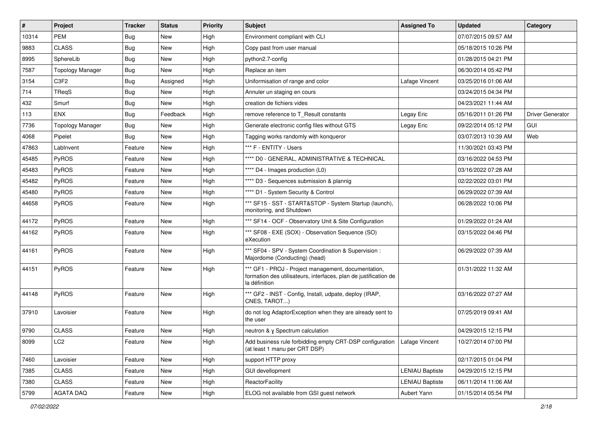| $\vert$ # | <b>Project</b>          | <b>Tracker</b> | <b>Status</b> | <b>Priority</b> | <b>Subject</b>                                                                                                                           | <b>Assigned To</b>     | <b>Updated</b>      | Category                |
|-----------|-------------------------|----------------|---------------|-----------------|------------------------------------------------------------------------------------------------------------------------------------------|------------------------|---------------------|-------------------------|
| 10314     | <b>PEM</b>              | Bug            | New           | High            | Environment compliant with CLI                                                                                                           |                        | 07/07/2015 09:57 AM |                         |
| 9883      | <b>CLASS</b>            | Bug            | New           | High            | Copy past from user manual                                                                                                               |                        | 05/18/2015 10:26 PM |                         |
| 8995      | SphereLib               | Bug            | New           | High            | python2.7-config                                                                                                                         |                        | 01/28/2015 04:21 PM |                         |
| 7587      | <b>Topology Manager</b> | Bug            | New           | High            | Replace an item                                                                                                                          |                        | 06/30/2014 05:42 PM |                         |
| 3154      | C <sub>3F2</sub>        | <b>Bug</b>     | Assigned      | High            | Uniformisation of range and color                                                                                                        | Lafage Vincent         | 03/25/2016 01:06 AM |                         |
| 714       | TReqS                   | <b>Bug</b>     | New           | High            | Annuler un staging en cours                                                                                                              |                        | 03/24/2015 04:34 PM |                         |
| 432       | Smurf                   | Bug            | <b>New</b>    | High            | creation de fichiers vides                                                                                                               |                        | 04/23/2021 11:44 AM |                         |
| 113       | <b>ENX</b>              | Bug            | Feedback      | High            | remove reference to T Result constants                                                                                                   | Legay Eric             | 05/16/2011 01:26 PM | <b>Driver Generator</b> |
| 7736      | <b>Topology Manager</b> | <b>Bug</b>     | New           | High            | Generate electronic config files without GTS                                                                                             | Legay Eric             | 09/22/2014 05:12 PM | <b>GUI</b>              |
| 4068      | Pipelet                 | Bug            | New           | High            | Tagging works randomly with konqueror                                                                                                    |                        | 03/07/2013 10:39 AM | Web                     |
| 47863     | LabInvent               | Feature        | New           | High            | *** F - ENTITY - Users                                                                                                                   |                        | 11/30/2021 03:43 PM |                         |
| 45485     | PyROS                   | Feature        | New           | High            | **** D0 - GENERAL, ADMINISTRATIVE & TECHNICAL                                                                                            |                        | 03/16/2022 04:53 PM |                         |
| 45483     | PyROS                   | Feature        | New           | High            | **** D4 - Images production (L0)                                                                                                         |                        | 03/16/2022 07:28 AM |                         |
| 45482     | PyROS                   | Feature        | New           | High            | **** D3 - Sequences submission & plannig                                                                                                 |                        | 02/22/2022 03:01 PM |                         |
| 45480     | PyROS                   | Feature        | New           | High            | **** D1 - System Security & Control                                                                                                      |                        | 06/29/2022 07:39 AM |                         |
| 44658     | <b>PyROS</b>            | Feature        | New           | High            | *** SF15 - SST - START&STOP - System Startup (launch),<br>monitoring, and Shutdown                                                       |                        | 06/28/2022 10:06 PM |                         |
| 44172     | PyROS                   | Feature        | <b>New</b>    | High            | *** SF14 - OCF - Observatory Unit & Site Configuration                                                                                   |                        | 01/29/2022 01:24 AM |                         |
| 44162     | PyROS                   | Feature        | New           | High            | *** SF08 - EXE (SOX) - Observation Sequence (SO)<br>eXecution                                                                            |                        | 03/15/2022 04:46 PM |                         |
| 44161     | PyROS                   | Feature        | New           | High            | *** SF04 - SPV - System Coordination & Supervision :<br>Majordome (Conducting) (head)                                                    |                        | 06/29/2022 07:39 AM |                         |
| 44151     | PyROS                   | Feature        | New           | High            | *** GF1 - PROJ - Project management, documentation,<br>formation des utilisateurs, interfaces, plan de justification de<br>la définition |                        | 01/31/2022 11:32 AM |                         |
| 44148     | PyROS                   | Feature        | New           | High            | *** GF2 - INST - Config, Install, udpate, deploy (IRAP,<br>CNES, TAROT)                                                                  |                        | 03/16/2022 07:27 AM |                         |
| 37910     | Lavoisier               | Feature        | New           | High            | do not log AdaptorException when they are already sent to<br>the user                                                                    |                        | 07/25/2019 09:41 AM |                         |
| 9790      | <b>CLASS</b>            | Feature        | New           | High            | neutron & y Spectrum calculation                                                                                                         |                        | 04/29/2015 12:15 PM |                         |
| 8099      | LC <sub>2</sub>         | Feature        | New           | High            | Add business rule forbidding empty CRT-DSP configuration<br>(at least 1 manu per CRT DSP)                                                | Lafage Vincent         | 10/27/2014 07:00 PM |                         |
| 7460      | Lavoisier               | Feature        | New           | High            | support HTTP proxy                                                                                                                       |                        | 02/17/2015 01:04 PM |                         |
| 7385      | <b>CLASS</b>            | Feature        | New           | High            | <b>GUI devellopment</b>                                                                                                                  | <b>LENIAU Baptiste</b> | 04/29/2015 12:15 PM |                         |
| 7380      | CLASS                   | Feature        | New           | High            | ReactorFacility                                                                                                                          | <b>LENIAU Baptiste</b> | 06/11/2014 11:06 AM |                         |
| 5799      | AGATA DAQ               | Feature        | New           | High            | ELOG not available from GSI guest network                                                                                                | Aubert Yann            | 01/15/2014 05:54 PM |                         |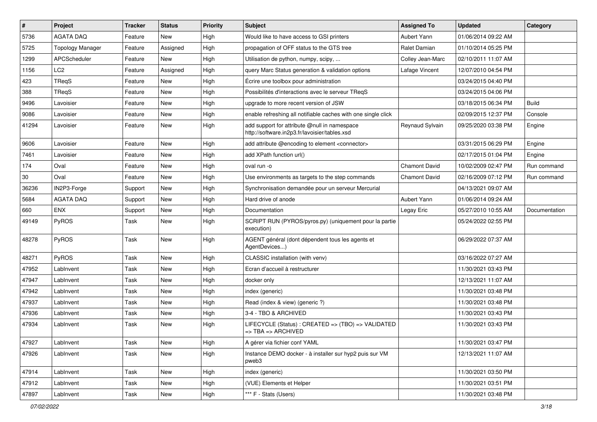| $\sharp$ | <b>Project</b>          | <b>Tracker</b> | <b>Status</b> | <b>Priority</b> | <b>Subject</b>                                                                                | <b>Assigned To</b>   | <b>Updated</b>      | Category      |
|----------|-------------------------|----------------|---------------|-----------------|-----------------------------------------------------------------------------------------------|----------------------|---------------------|---------------|
| 5736     | <b>AGATA DAQ</b>        | Feature        | New           | High            | Would like to have access to GSI printers                                                     | Aubert Yann          | 01/06/2014 09:22 AM |               |
| 5725     | <b>Topology Manager</b> | Feature        | Assigned      | High            | propagation of OFF status to the GTS tree                                                     | Ralet Damian         | 01/10/2014 05:25 PM |               |
| 1299     | APCScheduler            | Feature        | <b>New</b>    | High            | Utilisation de python, numpy, scipy,                                                          | Colley Jean-Marc     | 02/10/2011 11:07 AM |               |
| 1156     | LC <sub>2</sub>         | Feature        | Assigned      | High            | query Marc Status generation & validation options                                             | Lafage Vincent       | 12/07/2010 04:54 PM |               |
| 423      | TRegS                   | Feature        | <b>New</b>    | High            | Écrire une toolbox pour administration                                                        |                      | 03/24/2015 04:40 PM |               |
| 388      | TReqS                   | Feature        | New           | High            | Possibilités d'interactions avec le serveur TReqS                                             |                      | 03/24/2015 04:06 PM |               |
| 9496     | Lavoisier               | Feature        | <b>New</b>    | High            | upgrade to more recent version of JSW                                                         |                      | 03/18/2015 06:34 PM | <b>Build</b>  |
| 9086     | Lavoisier               | Feature        | New           | High            | enable refreshing all notifiable caches with one single click                                 |                      | 02/09/2015 12:37 PM | Console       |
| 41294    | Lavoisier               | Feature        | New           | High            | add support for attribute @null in namespace<br>http://software.in2p3.fr/lavoisier/tables.xsd | Reynaud Sylvain      | 09/25/2020 03:38 PM | Engine        |
| 9606     | Lavoisier               | Feature        | <b>New</b>    | High            | add attribute @encoding to element <connector></connector>                                    |                      | 03/31/2015 06:29 PM | Engine        |
| 7461     | Lavoisier               | Feature        | New           | High            | add XPath function url()                                                                      |                      | 02/17/2015 01:04 PM | Engine        |
| 174      | Oval                    | Feature        | New           | High            | oval run -o                                                                                   | <b>Chamont David</b> | 10/02/2009 02:47 PM | Run command   |
| 30       | Oval                    | Feature        | New           | High            | Use environments as targets to the step commands                                              | <b>Chamont David</b> | 02/16/2009 07:12 PM | Run command   |
| 36236    | IN2P3-Forge             | Support        | New           | High            | Synchronisation demandée pour un serveur Mercurial                                            |                      | 04/13/2021 09:07 AM |               |
| 5684     | <b>AGATA DAQ</b>        | Support        | New           | High            | Hard drive of anode                                                                           | Aubert Yann          | 01/06/2014 09:24 AM |               |
| 660      | <b>ENX</b>              | Support        | New           | High            | Documentation                                                                                 | Legay Eric           | 05/27/2010 10:55 AM | Documentation |
| 49149    | PyROS                   | Task           | <b>New</b>    | High            | SCRIPT RUN (PYROS/pyros.py) (uniquement pour la partie<br>execution)                          |                      | 05/24/2022 02:55 PM |               |
| 48278    | PyROS                   | Task           | New           | High            | AGENT général (dont dépendent tous les agents et<br>AgentDevices)                             |                      | 06/29/2022 07:37 AM |               |
| 48271    | PyROS                   | Task           | New           | High            | CLASSIC installation (with venv)                                                              |                      | 03/16/2022 07:27 AM |               |
| 47952    | LabInvent               | Task           | New           | High            | Ecran d'accueil à restructurer                                                                |                      | 11/30/2021 03:43 PM |               |
| 47947    | LabInvent               | Task           | New           | High            | docker only                                                                                   |                      | 12/13/2021 11:07 AM |               |
| 47942    | LabInvent               | Task           | <b>New</b>    | High            | index (generic)                                                                               |                      | 11/30/2021 03:48 PM |               |
| 47937    | LabInvent               | Task           | New           | High            | Read (index & view) (generic ?)                                                               |                      | 11/30/2021 03:48 PM |               |
| 47936    | LabInvent               | Task           | New           | High            | 3-4 - TBO & ARCHIVED                                                                          |                      | 11/30/2021 03:43 PM |               |
| 47934    | LabInvent               | Task           | New           | High            | LIFECYCLE (Status): CREATED => (TBO) => VALIDATED<br>$\Rightarrow$ TBA $\Rightarrow$ ARCHIVED |                      | 11/30/2021 03:43 PM |               |
| 47927    | LabInvent               | Task           | New           | High            | A gérer via fichier conf YAML                                                                 |                      | 11/30/2021 03:47 PM |               |
| 47926    | LabInvent               | Task           | New           | High            | Instance DEMO docker - à installer sur hyp2 puis sur VM<br>pweb3                              |                      | 12/13/2021 11:07 AM |               |
| 47914    | LabInvent               | Task           | New           | High            | index (generic)                                                                               |                      | 11/30/2021 03:50 PM |               |
| 47912    | LabInvent               | Task           | New           | High            | (VUE) Elements et Helper                                                                      |                      | 11/30/2021 03:51 PM |               |
| 47897    | LabInvent               | Task           | New           | High            | *** F - Stats (Users)                                                                         |                      | 11/30/2021 03:48 PM |               |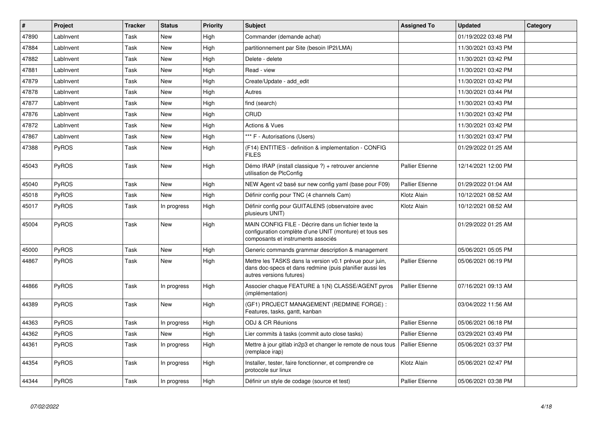| $\vert$ # | Project      | <b>Tracker</b> | <b>Status</b> | Priority | <b>Subject</b>                                                                                                                                       | <b>Assigned To</b>     | <b>Updated</b>      | Category |
|-----------|--------------|----------------|---------------|----------|------------------------------------------------------------------------------------------------------------------------------------------------------|------------------------|---------------------|----------|
| 47890     | LabInvent    | Task           | New           | High     | Commander (demande achat)                                                                                                                            |                        | 01/19/2022 03:48 PM |          |
| 47884     | LabInvent    | Task           | <b>New</b>    | High     | partitionnement par Site (besoin IP2I/LMA)                                                                                                           |                        | 11/30/2021 03:43 PM |          |
| 47882     | LabInvent    | Task           | New           | High     | Delete - delete                                                                                                                                      |                        | 11/30/2021 03:42 PM |          |
| 47881     | LabInvent    | Task           | <b>New</b>    | High     | Read - view                                                                                                                                          |                        | 11/30/2021 03:42 PM |          |
| 47879     | LabInvent    | Task           | <b>New</b>    | High     | Create/Update - add edit                                                                                                                             |                        | 11/30/2021 03:42 PM |          |
| 47878     | LabInvent    | Task           | New           | High     | Autres                                                                                                                                               |                        | 11/30/2021 03:44 PM |          |
| 47877     | LabInvent    | Task           | New           | High     | find (search)                                                                                                                                        |                        | 11/30/2021 03:43 PM |          |
| 47876     | LabInvent    | Task           | New           | High     | CRUD                                                                                                                                                 |                        | 11/30/2021 03:42 PM |          |
| 47872     | LabInvent    | Task           | New           | High     | <b>Actions &amp; Vues</b>                                                                                                                            |                        | 11/30/2021 03:42 PM |          |
| 47867     | LabInvent    | Task           | New           | High     | *** F - Autorisations (Users)                                                                                                                        |                        | 11/30/2021 03:47 PM |          |
| 47388     | <b>PyROS</b> | Task           | <b>New</b>    | High     | (F14) ENTITIES - definition & implementation - CONFIG<br><b>FILES</b>                                                                                |                        | 01/29/2022 01:25 AM |          |
| 45043     | PyROS        | Task           | New           | High     | Démo IRAP (install classique ?) + retrouver ancienne<br>utilisation de PlcConfig                                                                     | <b>Pallier Etienne</b> | 12/14/2021 12:00 PM |          |
| 45040     | <b>PyROS</b> | Task           | <b>New</b>    | High     | NEW Agent v2 basé sur new config yaml (base pour F09)                                                                                                | <b>Pallier Etienne</b> | 01/29/2022 01:04 AM |          |
| 45018     | PyROS        | Task           | <b>New</b>    | High     | Définir config pour TNC (4 channels Cam)                                                                                                             | Klotz Alain            | 10/12/2021 08:52 AM |          |
| 45017     | PyROS        | Task           | In progress   | High     | Définir config pour GUITALENS (observatoire avec<br>plusieurs UNIT)                                                                                  | Klotz Alain            | 10/12/2021 08:52 AM |          |
| 45004     | PyROS        | Task           | New           | High     | MAIN CONFIG FILE - Décrire dans un fichier texte la<br>configuration complète d'une UNIT (monture) et tous ses<br>composants et instruments associés |                        | 01/29/2022 01:25 AM |          |
| 45000     | PyROS        | Task           | New           | High     | Generic commands grammar description & management                                                                                                    |                        | 05/06/2021 05:05 PM |          |
| 44867     | <b>PyROS</b> | Task           | New           | High     | Mettre les TASKS dans la version v0.1 prévue pour juin,<br>dans doc-specs et dans redmine (puis planifier aussi les<br>autres versions futures)      | <b>Pallier Etienne</b> | 05/06/2021 06:19 PM |          |
| 44866     | <b>PyROS</b> | Task           | In progress   | High     | Associer chaque FEATURE à 1(N) CLASSE/AGENT pyros<br>(implémentation)                                                                                | <b>Pallier Etienne</b> | 07/16/2021 09:13 AM |          |
| 44389     | <b>PyROS</b> | Task           | New           | High     | (GF1) PROJECT MANAGEMENT (REDMINE FORGE):<br>Features, tasks, gantt, kanban                                                                          |                        | 03/04/2022 11:56 AM |          |
| 44363     | PyROS        | Task           | In progress   | High     | <b>ODJ &amp; CR Réunions</b>                                                                                                                         | <b>Pallier Etienne</b> | 05/06/2021 06:18 PM |          |
| 44362     | <b>PyROS</b> | Task           | New           | High     | Lier commits à tasks (commit auto close tasks)                                                                                                       | <b>Pallier Etienne</b> | 03/29/2021 03:49 PM |          |
| 44361     | PyROS        | Task           | In progress   | High     | Mettre à jour gitlab in2p3 et changer le remote de nous tous<br>(remplace irap)                                                                      | <b>Pallier Etienne</b> | 05/06/2021 03:37 PM |          |
| 44354     | PyROS        | Task           | In progress   | High     | Installer, tester, faire fonctionner, et comprendre ce<br>protocole sur linux                                                                        | Klotz Alain            | 05/06/2021 02:47 PM |          |
| 44344     | PyROS        | Task           | In progress   | High     | Définir un style de codage (source et test)                                                                                                          | <b>Pallier Etienne</b> | 05/06/2021 03:38 PM |          |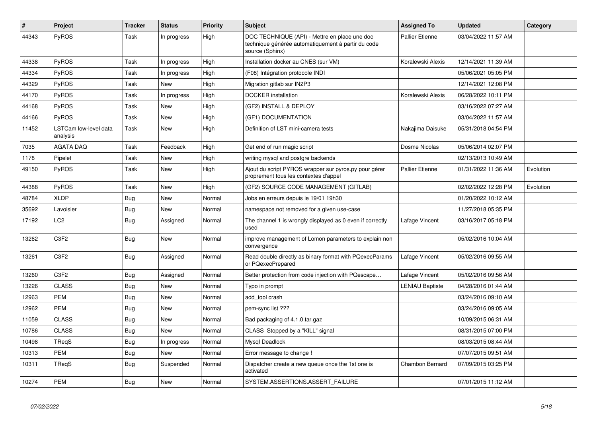| #     | Project                           | <b>Tracker</b> | <b>Status</b> | <b>Priority</b> | <b>Subject</b>                                                                                                         | <b>Assigned To</b>     | <b>Updated</b>      | Category  |
|-------|-----------------------------------|----------------|---------------|-----------------|------------------------------------------------------------------------------------------------------------------------|------------------------|---------------------|-----------|
| 44343 | <b>PyROS</b>                      | Task           | In progress   | High            | DOC TECHNIQUE (API) - Mettre en place une doc<br>technique générée automatiquement à partir du code<br>source (Sphinx) | <b>Pallier Etienne</b> | 03/04/2022 11:57 AM |           |
| 44338 | PyROS                             | Task           | In progress   | High            | Installation docker au CNES (sur VM)                                                                                   | Koralewski Alexis      | 12/14/2021 11:39 AM |           |
| 44334 | PyROS                             | Task           | In progress   | High            | (F08) Intégration protocole INDI                                                                                       |                        | 05/06/2021 05:05 PM |           |
| 44329 | PyROS                             | Task           | New           | High            | Migration gitlab sur IN2P3                                                                                             |                        | 12/14/2021 12:08 PM |           |
| 44170 | <b>PyROS</b>                      | Task           | In progress   | High            | <b>DOCKER</b> installation                                                                                             | Koralewski Alexis      | 06/28/2022 10:11 PM |           |
| 44168 | PyROS                             | Task           | New           | High            | (GF2) INSTALL & DEPLOY                                                                                                 |                        | 03/16/2022 07:27 AM |           |
| 44166 | PyROS                             | Task           | <b>New</b>    | High            | (GF1) DOCUMENTATION                                                                                                    |                        | 03/04/2022 11:57 AM |           |
| 11452 | LSTCam low-level data<br>analysis | Task           | New           | High            | Definition of LST mini-camera tests                                                                                    | Nakajima Daisuke       | 05/31/2018 04:54 PM |           |
| 7035  | <b>AGATA DAQ</b>                  | Task           | Feedback      | High            | Get end of run magic script                                                                                            | Dosme Nicolas          | 05/06/2014 02:07 PM |           |
| 1178  | Pipelet                           | Task           | New           | High            | writing mysgl and postgre backends                                                                                     |                        | 02/13/2013 10:49 AM |           |
| 49150 | PyROS                             | Task           | New           | High            | Ajout du script PYROS wrapper sur pyros.py pour gérer<br>proprement tous les contextes d'appel                         | <b>Pallier Etienne</b> | 01/31/2022 11:36 AM | Evolution |
| 44388 | <b>PyROS</b>                      | Task           | New           | High            | (GF2) SOURCE CODE MANAGEMENT (GITLAB)                                                                                  |                        | 02/02/2022 12:28 PM | Evolution |
| 48784 | <b>XLDP</b>                       | <b>Bug</b>     | New           | Normal          | Jobs en erreurs depuis le 19/01 19h30                                                                                  |                        | 01/20/2022 10:12 AM |           |
| 35692 | Lavoisier                         | Bug            | New           | Normal          | namespace not removed for a given use-case                                                                             |                        | 11/27/2018 05:35 PM |           |
| 17192 | LC <sub>2</sub>                   | <b>Bug</b>     | Assigned      | Normal          | The channel 1 is wrongly displayed as 0 even if correctly<br>used                                                      | Lafage Vincent         | 03/16/2017 05:18 PM |           |
| 13262 | C <sub>3F2</sub>                  | Bug            | New           | Normal          | improve management of Lomon parameters to explain non<br>convergence                                                   |                        | 05/02/2016 10:04 AM |           |
| 13261 | C <sub>3</sub> F <sub>2</sub>     | Bug            | Assigned      | Normal          | Read double directly as binary format with PQexecParams<br>or PQexecPrepared                                           | Lafage Vincent         | 05/02/2016 09:55 AM |           |
| 13260 | C <sub>3F2</sub>                  | Bug            | Assigned      | Normal          | Better protection from code injection with PQescape                                                                    | Lafage Vincent         | 05/02/2016 09:56 AM |           |
| 13226 | <b>CLASS</b>                      | <b>Bug</b>     | New           | Normal          | Typo in prompt                                                                                                         | LENIAU Baptiste        | 04/28/2016 01:44 AM |           |
| 12963 | <b>PEM</b>                        | <b>Bug</b>     | <b>New</b>    | Normal          | add tool crash                                                                                                         |                        | 03/24/2016 09:10 AM |           |
| 12962 | <b>PEM</b>                        | Bug            | New           | Normal          | pem-sync list ???                                                                                                      |                        | 03/24/2016 09:05 AM |           |
| 11059 | <b>CLASS</b>                      | <b>Bug</b>     | <b>New</b>    | Normal          | Bad packaging of 4.1.0.tar.gaz                                                                                         |                        | 10/09/2015 06:31 AM |           |
| 10786 | <b>CLASS</b>                      | Bug            | New           | Normal          | CLASS Stopped by a "KILL" signal                                                                                       |                        | 08/31/2015 07:00 PM |           |
| 10498 | TReqS                             | Bug            | In progress   | Normal          | Mysql Deadlock                                                                                                         |                        | 08/03/2015 08:44 AM |           |
| 10313 | <b>PEM</b>                        | Bug            | <b>New</b>    | Normal          | Error message to change !                                                                                              |                        | 07/07/2015 09:51 AM |           |
| 10311 | TRegS                             | Bug            | Suspended     | Normal          | Dispatcher create a new queue once the 1st one is<br>activated                                                         | Chambon Bernard        | 07/09/2015 03:25 PM |           |
| 10274 | <b>PEM</b>                        | Bug            | <b>New</b>    | Normal          | SYSTEM.ASSERTIONS.ASSERT_FAILURE                                                                                       |                        | 07/01/2015 11:12 AM |           |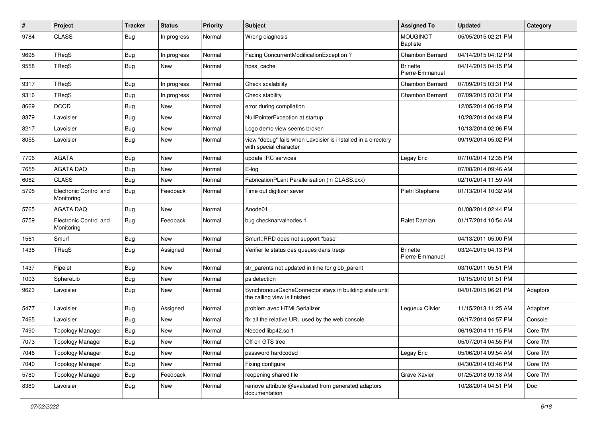| #    | Project                              | <b>Tracker</b> | <b>Status</b> | <b>Priority</b> | <b>Subject</b>                                                                          | <b>Assigned To</b>                 | <b>Updated</b>      | Category |
|------|--------------------------------------|----------------|---------------|-----------------|-----------------------------------------------------------------------------------------|------------------------------------|---------------------|----------|
| 9784 | <b>CLASS</b>                         | Bug            | In progress   | Normal          | Wrong diagnosis                                                                         | <b>MOUGINOT</b><br>Baptiste        | 05/05/2015 02:21 PM |          |
| 9695 | TReqS                                | <b>Bug</b>     | In progress   | Normal          | Facing ConcurrentModificationException?                                                 | Chambon Bernard                    | 04/14/2015 04:12 PM |          |
| 9558 | TReqS                                | <b>Bug</b>     | New           | Normal          | hpss_cache                                                                              | <b>Brinette</b><br>Pierre-Emmanuel | 04/14/2015 04:15 PM |          |
| 9317 | TReqS                                | <b>Bug</b>     | In progress   | Normal          | Check scalability                                                                       | Chambon Bernard                    | 07/09/2015 03:31 PM |          |
| 9316 | TReqS                                | <b>Bug</b>     | In progress   | Normal          | Check stability                                                                         | Chambon Bernard                    | 07/09/2015 03:31 PM |          |
| 8669 | <b>DCOD</b>                          | <b>Bug</b>     | New           | Normal          | error during compilation                                                                |                                    | 12/05/2014 06:19 PM |          |
| 8379 | Lavoisier                            | Bug            | <b>New</b>    | Normal          | NullPointerException at startup                                                         |                                    | 10/28/2014 04:49 PM |          |
| 8217 | Lavoisier                            | Bug            | New           | Normal          | Logo demo view seems broken                                                             |                                    | 10/13/2014 02:06 PM |          |
| 8055 | Lavoisier                            | Bug            | New           | Normal          | view "debug" fails when Lavoisier is installed in a directory<br>with special character |                                    | 09/19/2014 05:02 PM |          |
| 7706 | <b>AGATA</b>                         | <b>Bug</b>     | New           | Normal          | update IRC services                                                                     | Legay Eric                         | 07/10/2014 12:35 PM |          |
| 7655 | <b>AGATA DAQ</b>                     | <b>Bug</b>     | New           | Normal          | E-log                                                                                   |                                    | 07/08/2014 09:46 AM |          |
| 6062 | <b>CLASS</b>                         | <b>Bug</b>     | <b>New</b>    | Normal          | FabricationPLant Parallelisation (in CLASS.cxx)                                         |                                    | 02/10/2014 11:59 AM |          |
| 5795 | Electronic Control and<br>Monitoring | Bug            | Feedback      | Normal          | Time out digitizer sever                                                                | Pietri Stephane                    | 01/13/2014 10:32 AM |          |
| 5765 | <b>AGATA DAO</b>                     | Bug            | <b>New</b>    | Normal          | Anode01                                                                                 |                                    | 01/08/2014 02:44 PM |          |
| 5759 | Electronic Control and<br>Monitoring | Bug            | Feedback      | Normal          | bug checknarvalnodes 1                                                                  | Ralet Damian                       | 01/17/2014 10:54 AM |          |
| 1561 | Smurf                                | Bug            | <b>New</b>    | Normal          | Smurf::RRD does not support "base"                                                      |                                    | 04/13/2011 05:00 PM |          |
| 1438 | TReqS                                | <b>Bug</b>     | Assigned      | Normal          | Verifier le status des queues dans tregs                                                | <b>Brinette</b><br>Pierre-Emmanuel | 03/24/2015 04:13 PM |          |
| 1437 | Pipelet                              | Bug            | New           | Normal          | str_parents not updated in time for glob_parent                                         |                                    | 03/10/2011 05:51 PM |          |
| 1003 | SphereLib                            | <b>Bug</b>     | <b>New</b>    | Normal          | ps detection                                                                            |                                    | 10/15/2010 01:51 PM |          |
| 9623 | Lavoisier                            | <b>Bug</b>     | New           | Normal          | SynchronousCacheConnector stays in building state until<br>the calling view is finished |                                    | 04/01/2015 06:21 PM | Adaptors |
| 5477 | Lavoisier                            | Bug            | Assigned      | Normal          | problem avec HTMLSerializer                                                             | Lequeux Olivier                    | 11/15/2013 11:25 AM | Adaptors |
| 7465 | Lavoisier                            | Bug            | New           | Normal          | fix all the relative URL used by the web console                                        |                                    | 06/17/2014 04:57 PM | Console  |
| 7490 | <b>Topology Manager</b>              | Bug            | New           | Normal          | Needed libp42.so.1                                                                      |                                    | 06/19/2014 11:15 PM | Core TM  |
| 7073 | <b>Topology Manager</b>              | Bug            | New           | Normal          | Off on GTS tree                                                                         |                                    | 05/07/2014 04:55 PM | Core TM  |
| 7046 | <b>Topology Manager</b>              | Bug            | New           | Normal          | password hardcoded                                                                      | Legay Eric                         | 05/06/2014 09:54 AM | Core TM  |
| 7040 | <b>Topology Manager</b>              | <b>Bug</b>     | New           | Normal          | Fixing configure                                                                        |                                    | 04/30/2014 03:46 PM | Core TM  |
| 5780 | <b>Topology Manager</b>              | Bug            | Feedback      | Normal          | reopening shared file                                                                   | Grave Xavier                       | 01/25/2018 09:18 AM | Core TM  |
| 8380 | Lavoisier                            | <b>Bug</b>     | New           | Normal          | remove attribute @evaluated from generated adaptors<br>documentation                    |                                    | 10/28/2014 04:51 PM | Doc      |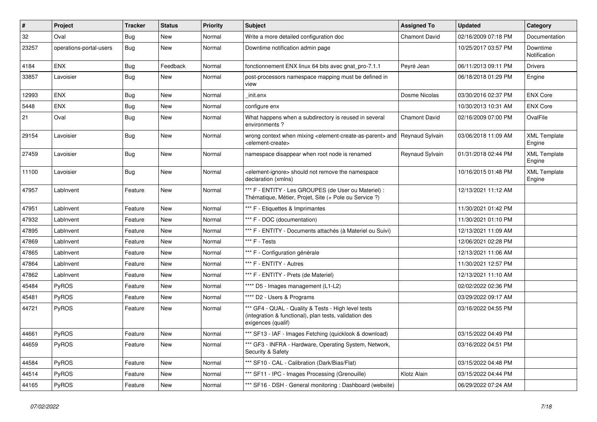| $\vert$ # | <b>Project</b>          | <b>Tracker</b> | <b>Status</b> | <b>Priority</b> | <b>Subject</b>                                                                                                                      | <b>Assigned To</b>   | <b>Updated</b>      | Category                      |
|-----------|-------------------------|----------------|---------------|-----------------|-------------------------------------------------------------------------------------------------------------------------------------|----------------------|---------------------|-------------------------------|
| 32        | Oval                    | Bug            | <b>New</b>    | Normal          | Write a more detailed configuration doc                                                                                             | <b>Chamont David</b> | 02/16/2009 07:18 PM | Documentation                 |
| 23257     | operations-portal-users | <b>Bug</b>     | <b>New</b>    | Normal          | Downtime notification admin page                                                                                                    |                      | 10/25/2017 03:57 PM | Downtime<br>Notification      |
| 4184      | <b>ENX</b>              | <b>Bug</b>     | Feedback      | Normal          | fonctionnement ENX linux 64 bits avec gnat pro-7.1.1                                                                                | Peyré Jean           | 06/11/2013 09:11 PM | <b>Drivers</b>                |
| 33857     | Lavoisier               | Bug            | <b>New</b>    | Normal          | post-processors namespace mapping must be defined in<br>view                                                                        |                      | 06/18/2018 01:29 PM | Engine                        |
| 12993     | <b>ENX</b>              | Bug            | <b>New</b>    | Normal          | init.enx                                                                                                                            | Dosme Nicolas        | 03/30/2016 02:37 PM | <b>ENX Core</b>               |
| 5448      | <b>ENX</b>              | <b>Bug</b>     | <b>New</b>    | Normal          | configure enx                                                                                                                       |                      | 10/30/2013 10:31 AM | <b>ENX Core</b>               |
| 21        | Oval                    | Bug            | New           | Normal          | What happens when a subdirectory is reused in several<br>environments?                                                              | <b>Chamont David</b> | 02/16/2009 07:00 PM | OvalFile                      |
| 29154     | Lavoisier               | Bug            | <b>New</b>    | Normal          | wrong context when mixing <element-create-as-parent> and<br/><element-create></element-create></element-create-as-parent>           | Reynaud Sylvain      | 03/06/2018 11:09 AM | <b>XML Template</b><br>Engine |
| 27459     | Lavoisier               | Bug            | <b>New</b>    | Normal          | namespace disappear when root node is renamed                                                                                       | Reynaud Sylvain      | 01/31/2018 02:44 PM | <b>XML Template</b><br>Engine |
| 11100     | Lavoisier               | Bug            | <b>New</b>    | Normal          | <element-ignore> should not remove the namespace<br/>declaration (xmlns)</element-ignore>                                           |                      | 10/16/2015 01:48 PM | <b>XML Template</b><br>Engine |
| 47957     | LabInvent               | Feature        | <b>New</b>    | Normal          | *** F - ENTITY - Les GROUPES (de User ou Materiel) :<br>Thématique, Métier, Projet, Site (+ Pole ou Service ?)                      |                      | 12/13/2021 11:12 AM |                               |
| 47951     | LabInvent               | Feature        | <b>New</b>    | Normal          | *** F - Etiquettes & Imprimantes                                                                                                    |                      | 11/30/2021 01:42 PM |                               |
| 47932     | LabInvent               | Feature        | <b>New</b>    | Normal          | *** F - DOC (documentation)                                                                                                         |                      | 11/30/2021 01:10 PM |                               |
| 47895     | LabInvent               | Feature        | <b>New</b>    | Normal          | *** F - ENTITY - Documents attachés (à Materiel ou Suivi)                                                                           |                      | 12/13/2021 11:09 AM |                               |
| 47869     | LabInvent               | Feature        | <b>New</b>    | Normal          | *** F - Tests                                                                                                                       |                      | 12/06/2021 02:28 PM |                               |
| 47865     | LabInvent               | Feature        | <b>New</b>    | Normal          | *** F - Configuration générale                                                                                                      |                      | 12/13/2021 11:06 AM |                               |
| 47864     | LabInvent               | Feature        | New           | Normal          | *** F - ENTITY - Autres                                                                                                             |                      | 11/30/2021 12:57 PM |                               |
| 47862     | LabInvent               | Feature        | <b>New</b>    | Normal          | *** F - ENTITY - Prets (de Materiel)                                                                                                |                      | 12/13/2021 11:10 AM |                               |
| 45484     | PyROS                   | Feature        | <b>New</b>    | Normal          | **** D5 - Images management (L1-L2)                                                                                                 |                      | 02/02/2022 02:36 PM |                               |
| 45481     | PyROS                   | Feature        | <b>New</b>    | Normal          | **** D2 - Users & Programs                                                                                                          |                      | 03/29/2022 09:17 AM |                               |
| 44721     | PyROS                   | Feature        | New           | Normal          | *** GF4 - QUAL - Quality & Tests - High level tests<br>(integration & functional), plan tests, validation des<br>exigences (qualif) |                      | 03/16/2022 04:55 PM |                               |
| 44661     | <b>PyROS</b>            | Feature        | New           | Normal          | *** SF13 - IAF - Images Fetching (quicklook & download)                                                                             |                      | 03/15/2022 04:49 PM |                               |
| 44659     | <b>PyROS</b>            | Feature        | <b>New</b>    | Normal          | *** GF3 - INFRA - Hardware, Operating System, Network,<br>Security & Safety                                                         |                      | 03/16/2022 04:51 PM |                               |
| 44584     | <b>PyROS</b>            | Feature        | New           | Normal          | *** SF10 - CAL - Calibration (Dark/Bias/Flat)                                                                                       |                      | 03/15/2022 04:48 PM |                               |
| 44514     | PyROS                   | Feature        | New           | Normal          | *** SF11 - IPC - Images Processing (Grenouille)                                                                                     | Klotz Alain          | 03/15/2022 04:44 PM |                               |
| 44165     | PyROS                   | Feature        | <b>New</b>    | Normal          | *** SF16 - DSH - General monitoring: Dashboard (website)                                                                            |                      | 06/29/2022 07:24 AM |                               |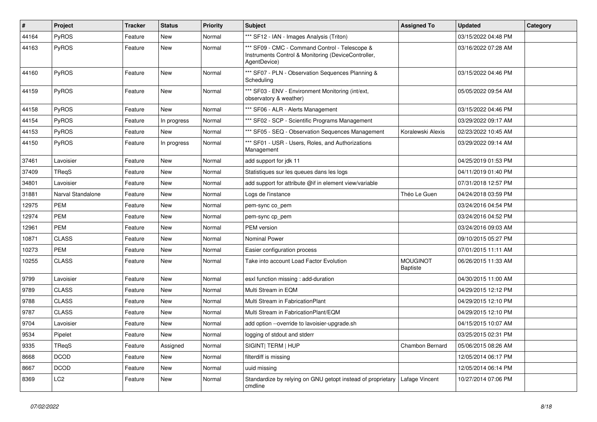| $\sharp$ | <b>Project</b>    | <b>Tracker</b> | <b>Status</b> | <b>Priority</b> | <b>Subject</b>                                                                                                        | <b>Assigned To</b>                 | <b>Updated</b>      | Category |
|----------|-------------------|----------------|---------------|-----------------|-----------------------------------------------------------------------------------------------------------------------|------------------------------------|---------------------|----------|
| 44164    | PyROS             | Feature        | New           | Normal          | *** SF12 - IAN - Images Analysis (Triton)                                                                             |                                    | 03/15/2022 04:48 PM |          |
| 44163    | PyROS             | Feature        | New           | Normal          | *** SF09 - CMC - Command Control - Telescope &<br>Instruments Control & Monitoring (DeviceController,<br>AgentDevice) |                                    | 03/16/2022 07:28 AM |          |
| 44160    | PyROS             | Feature        | New           | Normal          | *** SF07 - PLN - Observation Sequences Planning &<br>Scheduling                                                       |                                    | 03/15/2022 04:46 PM |          |
| 44159    | PyROS             | Feature        | New           | Normal          | *** SF03 - ENV - Environment Monitoring (int/ext,<br>observatory & weather)                                           |                                    | 05/05/2022 09:54 AM |          |
| 44158    | PyROS             | Feature        | New           | Normal          | *** SF06 - ALR - Alerts Management                                                                                    |                                    | 03/15/2022 04:46 PM |          |
| 44154    | PyROS             | Feature        | In progress   | Normal          | *** SF02 - SCP - Scientific Programs Management                                                                       |                                    | 03/29/2022 09:17 AM |          |
| 44153    | <b>PyROS</b>      | Feature        | New           | Normal          | *** SF05 - SEQ - Observation Sequences Management                                                                     | Koralewski Alexis                  | 02/23/2022 10:45 AM |          |
| 44150    | PyROS             | Feature        | In progress   | Normal          | *** SF01 - USR - Users, Roles, and Authorizations<br>Management                                                       |                                    | 03/29/2022 09:14 AM |          |
| 37461    | Lavoisier         | Feature        | New           | Normal          | add support for jdk 11                                                                                                |                                    | 04/25/2019 01:53 PM |          |
| 37409    | TReqS             | Feature        | New           | Normal          | Statistiques sur les queues dans les logs                                                                             |                                    | 04/11/2019 01:40 PM |          |
| 34801    | Lavoisier         | Feature        | New           | Normal          | add support for attribute @if in element view/variable                                                                |                                    | 07/31/2018 12:57 PM |          |
| 31881    | Narval Standalone | Feature        | New           | Normal          | Logs de l'instance                                                                                                    | Théo Le Guen                       | 04/24/2018 03:59 PM |          |
| 12975    | <b>PEM</b>        | Feature        | New           | Normal          | pem-sync co_pem                                                                                                       |                                    | 03/24/2016 04:54 PM |          |
| 12974    | <b>PEM</b>        | Feature        | New           | Normal          | pem-sync cp pem                                                                                                       |                                    | 03/24/2016 04:52 PM |          |
| 12961    | <b>PEM</b>        | Feature        | New           | Normal          | PEM version                                                                                                           |                                    | 03/24/2016 09:03 AM |          |
| 10871    | <b>CLASS</b>      | Feature        | <b>New</b>    | Normal          | <b>Nominal Power</b>                                                                                                  |                                    | 09/10/2015 05:27 PM |          |
| 10273    | <b>PEM</b>        | Feature        | New           | Normal          | Easier configuration process                                                                                          |                                    | 07/01/2015 11:11 AM |          |
| 10255    | <b>CLASS</b>      | Feature        | New           | Normal          | Take into account Load Factor Evolution                                                                               | <b>MOUGINOT</b><br><b>Baptiste</b> | 06/26/2015 11:33 AM |          |
| 9799     | Lavoisier         | Feature        | New           | Normal          | esxl function missing : add-duration                                                                                  |                                    | 04/30/2015 11:00 AM |          |
| 9789     | <b>CLASS</b>      | Feature        | New           | Normal          | Multi Stream in EQM                                                                                                   |                                    | 04/29/2015 12:12 PM |          |
| 9788     | <b>CLASS</b>      | Feature        | New           | Normal          | Multi Stream in FabricationPlant                                                                                      |                                    | 04/29/2015 12:10 PM |          |
| 9787     | <b>CLASS</b>      | Feature        | New           | Normal          | Multi Stream in FabricationPlant/EQM                                                                                  |                                    | 04/29/2015 12:10 PM |          |
| 9704     | Lavoisier         | Feature        | New           | Normal          | add option --override to lavoisier-upgrade.sh                                                                         |                                    | 04/15/2015 10:07 AM |          |
| 9534     | Pipelet           | Feature        | New           | Normal          | logging of stdout and stderr                                                                                          |                                    | 03/25/2015 02:31 PM |          |
| 9335     | TReqS             | Feature        | Assigned      | Normal          | SIGINT  TERM   HUP                                                                                                    | Chambon Bernard                    | 05/06/2015 08:26 AM |          |
| 8668     | <b>DCOD</b>       | Feature        | New           | Normal          | filterdiff is missing                                                                                                 |                                    | 12/05/2014 06:17 PM |          |
| 8667     | <b>DCOD</b>       | Feature        | New           | Normal          | uuid missing                                                                                                          |                                    | 12/05/2014 06:14 PM |          |
| 8369     | LC <sub>2</sub>   | Feature        | New           | Normal          | Standardize by relying on GNU getopt instead of proprietary<br>cmdline                                                | Lafage Vincent                     | 10/27/2014 07:06 PM |          |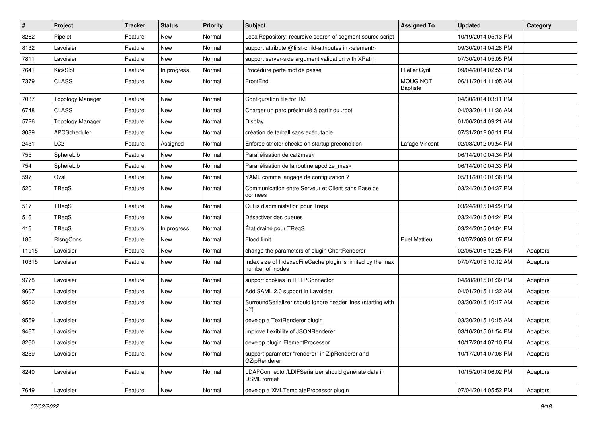| $\sharp$ | Project                 | <b>Tracker</b> | <b>Status</b> | <b>Priority</b> | <b>Subject</b>                                                                                                                 | <b>Assigned To</b>                 | <b>Updated</b>      | Category |
|----------|-------------------------|----------------|---------------|-----------------|--------------------------------------------------------------------------------------------------------------------------------|------------------------------------|---------------------|----------|
| 8262     | Pipelet                 | Feature        | New           | Normal          | LocalRepository: recursive search of segment source script                                                                     |                                    | 10/19/2014 05:13 PM |          |
| 8132     | Lavoisier               | Feature        | <b>New</b>    | Normal          | support attribute @first-child-attributes in <element></element>                                                               |                                    | 09/30/2014 04:28 PM |          |
| 7811     | Lavoisier               | Feature        | New           | Normal          | support server-side argument validation with XPath                                                                             |                                    | 07/30/2014 05:05 PM |          |
| 7641     | KickSlot                | Feature        | In progress   | Normal          | Procédure perte mot de passe                                                                                                   | <b>Flieller Cyril</b>              | 09/04/2014 02:55 PM |          |
| 7379     | <b>CLASS</b>            | Feature        | New           | Normal          | FrontEnd                                                                                                                       | <b>MOUGINOT</b><br><b>Baptiste</b> | 06/11/2014 11:05 AM |          |
| 7037     | <b>Topology Manager</b> | Feature        | <b>New</b>    | Normal          | Configuration file for TM                                                                                                      |                                    | 04/30/2014 03:11 PM |          |
| 6748     | <b>CLASS</b>            | Feature        | New           | Normal          | Charger un parc présimulé à partir du .root                                                                                    |                                    | 04/03/2014 11:36 AM |          |
| 5726     | <b>Topology Manager</b> | Feature        | New           | Normal          | Display                                                                                                                        |                                    | 01/06/2014 09:21 AM |          |
| 3039     | APCScheduler            | Feature        | New           | Normal          | création de tarball sans exécutable                                                                                            |                                    | 07/31/2012 06:11 PM |          |
| 2431     | LC2                     | Feature        | Assigned      | Normal          | Enforce stricter checks on startup precondition                                                                                | Lafage Vincent                     | 02/03/2012 09:54 PM |          |
| 755      | SphereLib               | Feature        | New           | Normal          | Parallélisation de cat2mask                                                                                                    |                                    | 06/14/2010 04:34 PM |          |
| 754      | SphereLib               | Feature        | New           | Normal          | Parallélisation de la routine apodize_mask                                                                                     |                                    | 06/14/2010 04:33 PM |          |
| 597      | Oval                    | Feature        | New           | Normal          | YAML comme langage de configuration?                                                                                           |                                    | 05/11/2010 01:36 PM |          |
| 520      | TReqS                   | Feature        | <b>New</b>    | Normal          | Communication entre Serveur et Client sans Base de<br>données                                                                  |                                    | 03/24/2015 04:37 PM |          |
| 517      | TReqS                   | Feature        | <b>New</b>    | Normal          | Outils d'administation pour Treqs                                                                                              |                                    | 03/24/2015 04:29 PM |          |
| 516      | TReqS                   | Feature        | <b>New</b>    | Normal          | Désactiver des queues                                                                                                          |                                    | 03/24/2015 04:24 PM |          |
| 416      | TReqS                   | Feature        | In progress   | Normal          | État drainé pour TReqS                                                                                                         |                                    | 03/24/2015 04:04 PM |          |
| 186      | RIsngCons               | Feature        | New           | Normal          | Flood limit                                                                                                                    | <b>Puel Mattieu</b>                | 10/07/2009 01:07 PM |          |
| 11915    | Lavoisier               | Feature        | New           | Normal          | change the parameters of plugin ChartRenderer                                                                                  |                                    | 02/05/2016 12:25 PM | Adaptors |
| 10315    | Lavoisier               | Feature        | New           | Normal          | Index size of IndexedFileCache plugin is limited by the max<br>number of inodes                                                |                                    | 07/07/2015 10:12 AM | Adaptors |
| 9778     | Lavoisier               | Feature        | <b>New</b>    | Normal          | support cookies in HTTPConnector                                                                                               |                                    | 04/28/2015 01:39 PM | Adaptors |
| 9607     | Lavoisier               | Feature        | <b>New</b>    | Normal          | Add SAML 2.0 support in Lavoisier                                                                                              |                                    | 04/01/2015 11:32 AM | Adaptors |
| 9560     | Lavoisier               | Feature        | New           | Normal          | SurroundSerializer should ignore header lines (starting with<br>)</td <td></td> <td>03/30/2015 10:17 AM</td> <td>Adaptors</td> |                                    | 03/30/2015 10:17 AM | Adaptors |
| 9559     | Lavoisier               | Feature        | <b>New</b>    | Normal          | develop a TextRenderer plugin                                                                                                  |                                    | 03/30/2015 10:15 AM | Adaptors |
| 9467     | Lavoisier               | Feature        | New           | Normal          | improve flexibility of JSONRenderer                                                                                            |                                    | 03/16/2015 01:54 PM | Adaptors |
| 8260     | Lavoisier               | Feature        | New           | Normal          | develop plugin ElementProcessor                                                                                                |                                    | 10/17/2014 07:10 PM | Adaptors |
| 8259     | Lavoisier               | Feature        | New           | Normal          | support parameter "renderer" in ZipRenderer and<br>GZipRenderer                                                                |                                    | 10/17/2014 07:08 PM | Adaptors |
| 8240     | Lavoisier               | Feature        | New           | Normal          | LDAPConnector/LDIFSerializer should generate data in<br><b>DSML</b> format                                                     |                                    | 10/15/2014 06:02 PM | Adaptors |
| 7649     | Lavoisier               | Feature        | New           | Normal          | develop a XMLTemplateProcessor plugin                                                                                          |                                    | 07/04/2014 05:52 PM | Adaptors |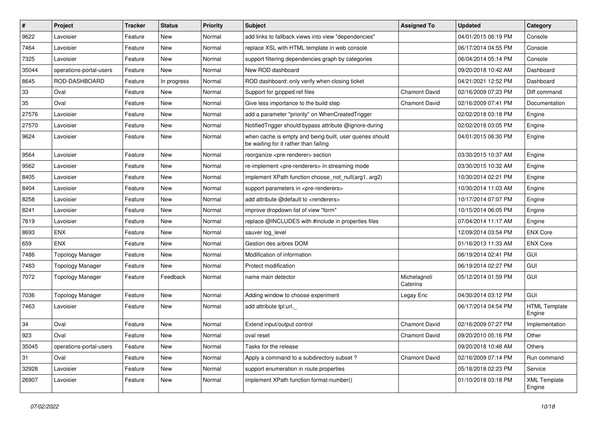| $\sharp$ | Project                 | Tracker | <b>Status</b> | <b>Priority</b> | <b>Subject</b>                                                                                    | <b>Assigned To</b>       | <b>Updated</b>      | Category                       |
|----------|-------------------------|---------|---------------|-----------------|---------------------------------------------------------------------------------------------------|--------------------------|---------------------|--------------------------------|
| 9622     | Lavoisier               | Feature | New           | Normal          | add links to fallback views into view "dependencies"                                              |                          | 04/01/2015 06:19 PM | Console                        |
| 7464     | Lavoisier               | Feature | <b>New</b>    | Normal          | replace XSL with HTML template in web console                                                     |                          | 06/17/2014 04:55 PM | Console                        |
| 7325     | Lavoisier               | Feature | New           | Normal          | support filtering dependencies graph by categories                                                |                          | 06/04/2014 05:14 PM | Console                        |
| 35044    | operations-portal-users | Feature | New           | Normal          | New ROD dashboard                                                                                 |                          | 09/20/2018 10:42 AM | Dashboard                      |
| 8645     | ROD-DASHBOARD           | Feature | In progress   | Normal          | ROD dashboard: only verify when closing ticket                                                    |                          | 04/21/2021 12:52 PM | Dashboard                      |
| 33       | Oval                    | Feature | New           | Normal          | Support for gzipped ref files                                                                     | <b>Chamont David</b>     | 02/16/2009 07:23 PM | Diff command                   |
| 35       | Oval                    | Feature | <b>New</b>    | Normal          | Give less importance to the build step                                                            | <b>Chamont David</b>     | 02/16/2009 07:41 PM | Documentation                  |
| 27576    | Lavoisier               | Feature | New           | Normal          | add a parameter "priority" on WhenCreatedTrigger                                                  |                          | 02/02/2018 03:18 PM | Engine                         |
| 27570    | Lavoisier               | Feature | New           | Normal          | NotifiedTrigger should bypass attribute @ignore-during                                            |                          | 02/02/2018 03:05 PM | Engine                         |
| 9624     | Lavoisier               | Feature | <b>New</b>    | Normal          | when cache is empty and being built, user queries should<br>be waiting for it rather than failing |                          | 04/01/2015 06:30 PM | Engine                         |
| 9564     | Lavoisier               | Feature | New           | Normal          | reorganize <pre-renderer> section</pre-renderer>                                                  |                          | 03/30/2015 10:37 AM | Engine                         |
| 9562     | Lavoisier               | Feature | New           | Normal          | re-implement <pre-renderers> in streaming mode</pre-renderers>                                    |                          | 03/30/2015 10:32 AM | Engine                         |
| 8405     | Lavoisier               | Feature | <b>New</b>    | Normal          | implement XPath function choose_not_null(arg1, arg2)                                              |                          | 10/30/2014 02:21 PM | Engine                         |
| 8404     | Lavoisier               | Feature | <b>New</b>    | Normal          | support parameters in <pre-renderers></pre-renderers>                                             |                          | 10/30/2014 11:03 AM | Engine                         |
| 8258     | Lavoisier               | Feature | New           | Normal          | add attribute @default to <renderers></renderers>                                                 |                          | 10/17/2014 07:07 PM | Engine                         |
| 8241     | Lavoisier               | Feature | New           | Normal          | improve dropdown list of view "form"                                                              |                          | 10/15/2014 06:05 PM | Engine                         |
| 7619     | Lavoisier               | Feature | <b>New</b>    | Normal          | replace @INCLUDES with #include in properties files                                               |                          | 07/04/2014 11:17 AM | Engine                         |
| 8693     | <b>ENX</b>              | Feature | New           | Normal          | sauver log_level                                                                                  |                          | 12/09/2014 03:54 PM | <b>ENX Core</b>                |
| 659      | <b>ENX</b>              | Feature | <b>New</b>    | Normal          | Gestion des arbres DOM                                                                            |                          | 01/16/2013 11:33 AM | <b>ENX Core</b>                |
| 7486     | <b>Topology Manager</b> | Feature | New           | Normal          | Modification of information                                                                       |                          | 06/19/2014 02:41 PM | GUI                            |
| 7483     | <b>Topology Manager</b> | Feature | New           | Normal          | Protect modification                                                                              |                          | 06/19/2014 02:27 PM | GUI                            |
| 7072     | <b>Topology Manager</b> | Feature | Feedback      | Normal          | name main detector                                                                                | Michelagnoli<br>Caterina | 05/12/2014 01:59 PM | GUI                            |
| 7036     | <b>Topology Manager</b> | Feature | <b>New</b>    | Normal          | Adding window to choose experiment                                                                | Legay Eric               | 04/30/2014 03:12 PM | <b>GUI</b>                     |
| 7463     | Lavoisier               | Feature | New           | Normal          | add attribute tpl:url.                                                                            |                          | 06/17/2014 04:54 PM | <b>HTML Template</b><br>Engine |
| 34       | Oval                    | Feature | New           | Normal          | Extend input/output control                                                                       | <b>Chamont David</b>     | 02/16/2009 07:27 PM | Implementation                 |
| 923      | Oval                    | Feature | New           | Normal          | oval reset                                                                                        | <b>Chamont David</b>     | 09/20/2010 05:16 PM | Other                          |
| 35045    | operations-portal-users | Feature | New           | Normal          | Tasks for the release                                                                             |                          | 09/20/2018 10:48 AM | Others                         |
| 31       | Oval                    | Feature | New           | Normal          | Apply a command to a subdirectory subset?                                                         | Chamont David            | 02/16/2009 07:14 PM | Run command                    |
| 32928    | Lavoisier               | Feature | New           | Normal          | support enumeration in route properties                                                           |                          | 05/18/2018 02:23 PM | Service                        |
| 26907    | Lavoisier               | Feature | New           | Normal          | implement XPath function format-number()                                                          |                          | 01/10/2018 03:18 PM | <b>XML Template</b><br>Engine  |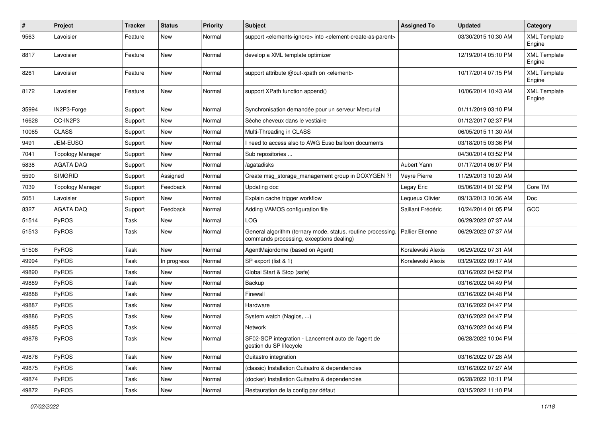| $\pmb{\#}$ | Project                 | <b>Tracker</b> | <b>Status</b> | <b>Priority</b> | <b>Subject</b>                                                                                           | <b>Assigned To</b>     | <b>Updated</b>      | Category                      |
|------------|-------------------------|----------------|---------------|-----------------|----------------------------------------------------------------------------------------------------------|------------------------|---------------------|-------------------------------|
| 9563       | Lavoisier               | Feature        | New           | Normal          | support <elements-ignore> into <element-create-as-parent></element-create-as-parent></elements-ignore>   |                        | 03/30/2015 10:30 AM | <b>XML Template</b><br>Engine |
| 8817       | Lavoisier               | Feature        | New           | Normal          | develop a XML template optimizer                                                                         |                        | 12/19/2014 05:10 PM | <b>XML Template</b><br>Engine |
| 8261       | Lavoisier               | Feature        | New           | Normal          | support attribute @out-xpath on <element></element>                                                      |                        | 10/17/2014 07:15 PM | <b>XML Template</b><br>Engine |
| 8172       | Lavoisier               | Feature        | <b>New</b>    | Normal          | support XPath function append()                                                                          |                        | 10/06/2014 10:43 AM | <b>XML Template</b><br>Engine |
| 35994      | IN2P3-Forge             | Support        | <b>New</b>    | Normal          | Synchronisation demandée pour un serveur Mercurial                                                       |                        | 01/11/2019 03:10 PM |                               |
| 16628      | CC-IN2P3                | Support        | <b>New</b>    | Normal          | Sèche cheveux dans le vestiaire                                                                          |                        | 01/12/2017 02:37 PM |                               |
| 10065      | <b>CLASS</b>            | Support        | New           | Normal          | Multi-Threading in CLASS                                                                                 |                        | 06/05/2015 11:30 AM |                               |
| 9491       | JEM-EUSO                | Support        | <b>New</b>    | Normal          | I need to access also to AWG Euso balloon documents                                                      |                        | 03/18/2015 03:36 PM |                               |
| 7041       | <b>Topology Manager</b> | Support        | New           | Normal          | Sub repositories                                                                                         |                        | 04/30/2014 03:52 PM |                               |
| 5838       | <b>AGATA DAQ</b>        | Support        | New           | Normal          | /agatadisks                                                                                              | Aubert Yann            | 01/17/2014 06:07 PM |                               |
| 5590       | <b>SIMGRID</b>          | Support        | Assigned      | Normal          | Create msg_storage_management group in DOXYGEN ?!                                                        | Veyre Pierre           | 11/29/2013 10:20 AM |                               |
| 7039       | <b>Topology Manager</b> | Support        | Feedback      | Normal          | Updating doc                                                                                             | Legay Eric             | 05/06/2014 01:32 PM | Core TM                       |
| 5051       | Lavoisier               | Support        | <b>New</b>    | Normal          | Explain cache trigger workflow                                                                           | Lequeux Olivier        | 09/13/2013 10:36 AM | Doc                           |
| 8327       | <b>AGATA DAQ</b>        | Support        | Feedback      | Normal          | Adding VAMOS configuration file                                                                          | Saillant Frédéric      | 10/24/2014 01:05 PM | GCC                           |
| 51514      | PyROS                   | Task           | New           | Normal          | LOG                                                                                                      |                        | 06/29/2022 07:37 AM |                               |
| 51513      | PyROS                   | Task           | <b>New</b>    | Normal          | General algorithm (ternary mode, status, routine processing,<br>commands processing, exceptions dealing) | <b>Pallier Etienne</b> | 06/29/2022 07:37 AM |                               |
| 51508      | PyROS                   | Task           | <b>New</b>    | Normal          | AgentMajordome (based on Agent)                                                                          | Koralewski Alexis      | 06/29/2022 07:31 AM |                               |
| 49994      | PyROS                   | Task           | In progress   | Normal          | SP export (list & 1)                                                                                     | Koralewski Alexis      | 03/29/2022 09:17 AM |                               |
| 49890      | PyROS                   | Task           | New           | Normal          | Global Start & Stop (safe)                                                                               |                        | 03/16/2022 04:52 PM |                               |
| 49889      | PyROS                   | Task           | <b>New</b>    | Normal          | Backup                                                                                                   |                        | 03/16/2022 04:49 PM |                               |
| 49888      | PyROS                   | Task           | New           | Normal          | Firewall                                                                                                 |                        | 03/16/2022 04:48 PM |                               |
| 49887      | PyROS                   | Task           | New           | Normal          | Hardware                                                                                                 |                        | 03/16/2022 04:47 PM |                               |
| 49886      | PyROS                   | Task           | <b>New</b>    | Normal          | System watch (Nagios, )                                                                                  |                        | 03/16/2022 04:47 PM |                               |
| 49885      | PyROS                   | Task           | New           | Normal          | <b>Network</b>                                                                                           |                        | 03/16/2022 04:46 PM |                               |
| 49878      | PyROS                   | Task           | New           | Normal          | SF02-SCP integration - Lancement auto de l'agent de<br>gestion du SP lifecycle                           |                        | 06/28/2022 10:04 PM |                               |
| 49876      | PyROS                   | Task           | New           | Normal          | Guitastro integration                                                                                    |                        | 03/16/2022 07:28 AM |                               |
| 49875      | PyROS                   | Task           | New           | Normal          | (classic) Installation Guitastro & dependencies                                                          |                        | 03/16/2022 07:27 AM |                               |
| 49874      | PyROS                   | Task           | New           | Normal          | (docker) Installation Guitastro & dependencies                                                           |                        | 06/28/2022 10:11 PM |                               |
| 49872      | PyROS                   | Task           | New           | Normal          | Restauration de la config par défaut                                                                     |                        | 03/15/2022 11:10 PM |                               |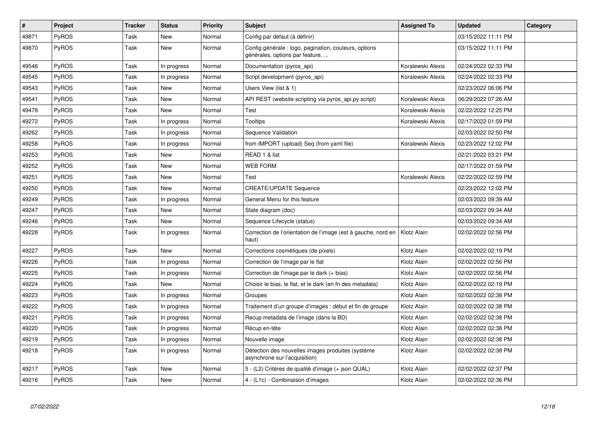| $\vert$ # | <b>Project</b> | <b>Tracker</b> | <b>Status</b> | <b>Priority</b> | <b>Subject</b>                                                                           | <b>Assigned To</b> | <b>Updated</b>      | Category |
|-----------|----------------|----------------|---------------|-----------------|------------------------------------------------------------------------------------------|--------------------|---------------------|----------|
| 49871     | PyROS          | Task           | <b>New</b>    | Normal          | Config par défaut (à définir)                                                            |                    | 03/15/2022 11:11 PM |          |
| 49870     | <b>PyROS</b>   | Task           | New           | Normal          | Config générale : logo, pagination, couleurs, options<br>générales, options par feature, |                    | 03/15/2022 11:11 PM |          |
| 49546     | PyROS          | Task           | In progress   | Normal          | Documentation (pyros_api)                                                                | Koralewski Alexis  | 02/24/2022 02:33 PM |          |
| 49545     | <b>PyROS</b>   | Task           | In progress   | Normal          | Script development (pyros_api)                                                           | Koralewski Alexis  | 02/24/2022 02:33 PM |          |
| 49543     | <b>PyROS</b>   | Task           | New           | Normal          | Users View (list & 1)                                                                    |                    | 02/23/2022 06:06 PM |          |
| 49541     | <b>PyROS</b>   | Task           | New           | Normal          | API REST (website scripting via pyros_api.py script)                                     | Koralewski Alexis  | 06/29/2022 07:26 AM |          |
| 49478     | <b>PyROS</b>   | Task           | <b>New</b>    | Normal          | Test                                                                                     | Koralewski Alexis  | 02/22/2022 12:25 PM |          |
| 49272     | PyROS          | Task           | In progress   | Normal          | Tooltips                                                                                 | Koralewski Alexis  | 02/17/2022 01:59 PM |          |
| 49262     | <b>PyROS</b>   | Task           | In progress   | Normal          | Sequence Validation                                                                      |                    | 02/03/2022 02:50 PM |          |
| 49258     | PyROS          | Task           | In progress   | Normal          | from IMPORT (upload) Seq (from yaml file)                                                | Koralewski Alexis  | 02/23/2022 12:02 PM |          |
| 49253     | PyROS          | Task           | <b>New</b>    | Normal          | READ 1 & list                                                                            |                    | 02/21/2022 03:21 PM |          |
| 49252     | PyROS          | Task           | <b>New</b>    | Normal          | <b>WEB FORM</b>                                                                          |                    | 02/17/2022 01:59 PM |          |
| 49251     | <b>PyROS</b>   | Task           | <b>New</b>    | Normal          | Test                                                                                     | Koralewski Alexis  | 02/22/2022 02:59 PM |          |
| 49250     | PyROS          | Task           | <b>New</b>    | Normal          | <b>CREATE/UPDATE Sequence</b>                                                            |                    | 02/23/2022 12:02 PM |          |
| 49249     | <b>PyROS</b>   | Task           | In progress   | Normal          | General Menu for this feature                                                            |                    | 02/03/2022 09:39 AM |          |
| 49247     | PyROS          | Task           | <b>New</b>    | Normal          | State diagram (doc)                                                                      |                    | 02/03/2022 09:34 AM |          |
| 49246     | <b>PyROS</b>   | Task           | New           | Normal          | Sequence Lifecycle (status)                                                              |                    | 02/03/2022 09:34 AM |          |
| 49228     | <b>PyROS</b>   | Task           | In progress   | Normal          | Correction de l'orientation de l'image (est à gauche, nord en<br>haut)                   | Klotz Alain        | 02/02/2022 02:56 PM |          |
| 49227     | <b>PyROS</b>   | Task           | New           | Normal          | Corrections cosmétiques (de pixels)                                                      | Klotz Alain        | 02/02/2022 02:19 PM |          |
| 49226     | <b>PyROS</b>   | Task           | In progress   | Normal          | Correction de l'image par le flat                                                        | Klotz Alain        | 02/02/2022 02:56 PM |          |
| 49225     | <b>PyROS</b>   | Task           | In progress   | Normal          | Correction de l'image par le dark (+ bias)                                               | Klotz Alain        | 02/02/2022 02:56 PM |          |
| 49224     | <b>PyROS</b>   | Task           | New           | Normal          | Choisir le bias, le flat, et le dark (en fn des metadata)                                | Klotz Alain        | 02/02/2022 02:19 PM |          |
| 49223     | PyROS          | Task           | In progress   | Normal          | Groupes                                                                                  | Klotz Alain        | 02/02/2022 02:38 PM |          |
| 49222     | <b>PyROS</b>   | Task           | In progress   | Normal          | Traitement d'un groupe d'images : début et fin de groupe                                 | Klotz Alain        | 02/02/2022 02:38 PM |          |
| 49221     | PyROS          | Task           | In progress   | Normal          | Recup metadata de l'image (dans la BD)                                                   | Klotz Alain        | 02/02/2022 02:38 PM |          |
| 49220     | <b>PyROS</b>   | Task           | In progress   | Normal          | Récup en-tête                                                                            | Klotz Alain        | 02/02/2022 02:38 PM |          |
| 49219     | PyROS          | Task           | In progress   | Normal          | Nouvelle image                                                                           | Klotz Alain        | 02/02/2022 02:38 PM |          |
| 49218     | <b>PyROS</b>   | Task           | In progress   | Normal          | Détection des nouvelles images produites (système<br>asynchrone sur l'acquisition)       | Klotz Alain        | 02/02/2022 02:38 PM |          |
| 49217     | <b>PyROS</b>   | Task           | <b>New</b>    | Normal          | 5 - (L2) Critères de qualité d'image (+ json QUAL)                                       | Klotz Alain        | 02/02/2022 02:37 PM |          |
| 49216     | PyROS          | Task           | <b>New</b>    | Normal          | 4 - (L1c) - Combinaison d'images                                                         | Klotz Alain        | 02/02/2022 02:36 PM |          |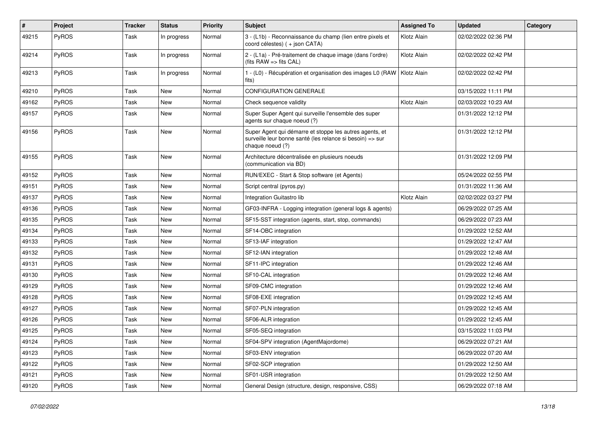| #     | Project | <b>Tracker</b> | <b>Status</b> | <b>Priority</b> | <b>Subject</b>                                                                                                                           | <b>Assigned To</b> | <b>Updated</b>      | Category |
|-------|---------|----------------|---------------|-----------------|------------------------------------------------------------------------------------------------------------------------------------------|--------------------|---------------------|----------|
| 49215 | PyROS   | Task           | In progress   | Normal          | 3 - (L1b) - Reconnaissance du champ (lien entre pixels et<br>coord célestes) ( + json CATA)                                              | Klotz Alain        | 02/02/2022 02:36 PM |          |
| 49214 | PyROS   | Task           | In progress   | Normal          | 2 - (L1a) - Pré-traitement de chaque image (dans l'ordre)<br>(fits $RAW \Rightarrow$ fits $CAL$ )                                        | Klotz Alain        | 02/02/2022 02:42 PM |          |
| 49213 | PyROS   | Task           | In progress   | Normal          | 1 - (L0) - Récupération et organisation des images L0 (RAW   Klotz Alain<br>fits)                                                        |                    | 02/02/2022 02:42 PM |          |
| 49210 | PyROS   | Task           | New           | Normal          | <b>CONFIGURATION GENERALE</b>                                                                                                            |                    | 03/15/2022 11:11 PM |          |
| 49162 | PyROS   | Task           | New           | Normal          | Check sequence validity                                                                                                                  | Klotz Alain        | 02/03/2022 10:23 AM |          |
| 49157 | PyROS   | Task           | New           | Normal          | Super Super Agent qui surveille l'ensemble des super<br>agents sur chaque noeud (?)                                                      |                    | 01/31/2022 12:12 PM |          |
| 49156 | PyROS   | Task           | New           | Normal          | Super Agent qui démarre et stoppe les autres agents, et<br>surveille leur bonne santé (les relance si besoin) => sur<br>chaque noeud (?) |                    | 01/31/2022 12:12 PM |          |
| 49155 | PyROS   | Task           | New           | Normal          | Architecture décentralisée en plusieurs noeuds<br>(communication via BD)                                                                 |                    | 01/31/2022 12:09 PM |          |
| 49152 | PyROS   | Task           | New           | Normal          | RUN/EXEC - Start & Stop software (et Agents)                                                                                             |                    | 05/24/2022 02:55 PM |          |
| 49151 | PyROS   | Task           | New           | Normal          | Script central (pyros.py)                                                                                                                |                    | 01/31/2022 11:36 AM |          |
| 49137 | PyROS   | Task           | New           | Normal          | Integration Guitastro lib                                                                                                                | Klotz Alain        | 02/02/2022 03:27 PM |          |
| 49136 | PyROS   | Task           | New           | Normal          | GF03-INFRA - Logging integration (general logs & agents)                                                                                 |                    | 06/29/2022 07:25 AM |          |
| 49135 | PyROS   | Task           | New           | Normal          | SF15-SST integration (agents, start, stop, commands)                                                                                     |                    | 06/29/2022 07:23 AM |          |
| 49134 | PyROS   | Task           | New           | Normal          | SF14-OBC integration                                                                                                                     |                    | 01/29/2022 12:52 AM |          |
| 49133 | PyROS   | Task           | New           | Normal          | SF13-IAF integration                                                                                                                     |                    | 01/29/2022 12:47 AM |          |
| 49132 | PyROS   | Task           | New           | Normal          | SF12-IAN integration                                                                                                                     |                    | 01/29/2022 12:48 AM |          |
| 49131 | PyROS   | Task           | New           | Normal          | SF11-IPC integration                                                                                                                     |                    | 01/29/2022 12:46 AM |          |
| 49130 | PyROS   | Task           | New           | Normal          | SF10-CAL integration                                                                                                                     |                    | 01/29/2022 12:46 AM |          |
| 49129 | PyROS   | Task           | New           | Normal          | SF09-CMC integration                                                                                                                     |                    | 01/29/2022 12:46 AM |          |
| 49128 | PyROS   | Task           | New           | Normal          | SF08-EXE integration                                                                                                                     |                    | 01/29/2022 12:45 AM |          |
| 49127 | PyROS   | Task           | New           | Normal          | SF07-PLN integration                                                                                                                     |                    | 01/29/2022 12:45 AM |          |
| 49126 | PyROS   | Task           | New           | Normal          | SF06-ALR integration                                                                                                                     |                    | 01/29/2022 12:45 AM |          |
| 49125 | PyROS   | Task           | New           | Normal          | SF05-SEQ integration                                                                                                                     |                    | 03/15/2022 11:03 PM |          |
| 49124 | PyROS   | Task           | New           | Normal          | SF04-SPV integration (AgentMajordome)                                                                                                    |                    | 06/29/2022 07:21 AM |          |
| 49123 | PyROS   | Task           | New           | Normal          | SF03-ENV integration                                                                                                                     |                    | 06/29/2022 07:20 AM |          |
| 49122 | PyROS   | Task           | New           | Normal          | SF02-SCP integration                                                                                                                     |                    | 01/29/2022 12:50 AM |          |
| 49121 | PyROS   | Task           | New           | Normal          | SF01-USR integration                                                                                                                     |                    | 01/29/2022 12:50 AM |          |
| 49120 | PyROS   | Task           | New           | Normal          | General Design (structure, design, responsive, CSS)                                                                                      |                    | 06/29/2022 07:18 AM |          |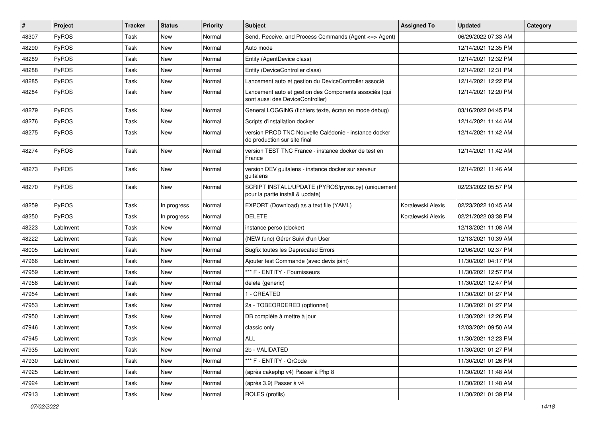| #     | <b>Project</b> | <b>Tracker</b> | <b>Status</b> | <b>Priority</b> | <b>Subject</b>                                                                             | <b>Assigned To</b> | <b>Updated</b>      | Category |
|-------|----------------|----------------|---------------|-----------------|--------------------------------------------------------------------------------------------|--------------------|---------------------|----------|
| 48307 | PyROS          | Task           | New           | Normal          | Send, Receive, and Process Commands (Agent <= > Agent)                                     |                    | 06/29/2022 07:33 AM |          |
| 48290 | PyROS          | Task           | New           | Normal          | Auto mode                                                                                  |                    | 12/14/2021 12:35 PM |          |
| 48289 | PyROS          | Task           | <b>New</b>    | Normal          | Entity (AgentDevice class)                                                                 |                    | 12/14/2021 12:32 PM |          |
| 48288 | PyROS          | Task           | New           | Normal          | Entity (DeviceController class)                                                            |                    | 12/14/2021 12:31 PM |          |
| 48285 | PyROS          | Task           | <b>New</b>    | Normal          | Lancement auto et gestion du DeviceController associé                                      |                    | 12/14/2021 12:22 PM |          |
| 48284 | PyROS          | Task           | New           | Normal          | Lancement auto et gestion des Components associés (qui<br>sont aussi des DeviceController) |                    | 12/14/2021 12:20 PM |          |
| 48279 | PyROS          | Task           | New           | Normal          | General LOGGING (fichiers texte, écran en mode debug)                                      |                    | 03/16/2022 04:45 PM |          |
| 48276 | PyROS          | Task           | New           | Normal          | Scripts d'installation docker                                                              |                    | 12/14/2021 11:44 AM |          |
| 48275 | PyROS          | Task           | New           | Normal          | version PROD TNC Nouvelle Calédonie - instance docker<br>de production sur site final      |                    | 12/14/2021 11:42 AM |          |
| 48274 | PyROS          | Task           | New           | Normal          | version TEST TNC France - instance docker de test en<br>France                             |                    | 12/14/2021 11:42 AM |          |
| 48273 | PyROS          | Task           | New           | Normal          | version DEV guitalens - instance docker sur serveur<br>guitalens                           |                    | 12/14/2021 11:46 AM |          |
| 48270 | PyROS          | Task           | New           | Normal          | SCRIPT INSTALL/UPDATE (PYROS/pyros.py) (uniquement<br>pour la partie install & update)     |                    | 02/23/2022 05:57 PM |          |
| 48259 | PyROS          | Task           | In progress   | Normal          | EXPORT (Download) as a text file (YAML)                                                    | Koralewski Alexis  | 02/23/2022 10:45 AM |          |
| 48250 | PyROS          | Task           | In progress   | Normal          | <b>DELETE</b>                                                                              | Koralewski Alexis  | 02/21/2022 03:38 PM |          |
| 48223 | LabInvent      | Task           | New           | Normal          | instance perso (docker)                                                                    |                    | 12/13/2021 11:08 AM |          |
| 48222 | LabInvent      | Task           | New           | Normal          | (NEW func) Gérer Suivi d'un User                                                           |                    | 12/13/2021 10:39 AM |          |
| 48005 | LabInvent      | Task           | New           | Normal          | <b>Bugfix toutes les Deprecated Errors</b>                                                 |                    | 12/06/2021 02:37 PM |          |
| 47966 | LabInvent      | Task           | New           | Normal          | Ajouter test Commande (avec devis joint)                                                   |                    | 11/30/2021 04:17 PM |          |
| 47959 | LabInvent      | Task           | New           | Normal          | *** F - ENTITY - Fournisseurs                                                              |                    | 11/30/2021 12:57 PM |          |
| 47958 | LabInvent      | Task           | New           | Normal          | delete (generic)                                                                           |                    | 11/30/2021 12:47 PM |          |
| 47954 | LabInvent      | Task           | New           | Normal          | 1 - CREATED                                                                                |                    | 11/30/2021 01:27 PM |          |
| 47953 | LabInvent      | Task           | <b>New</b>    | Normal          | 2a - TOBEORDERED (optionnel)                                                               |                    | 11/30/2021 01:27 PM |          |
| 47950 | LabInvent      | Task           | New           | Normal          | DB complète à mettre à jour                                                                |                    | 11/30/2021 12:26 PM |          |
| 47946 | Lablnvent      | Task           | New           | Normal          | classic only                                                                               |                    | 12/03/2021 09:50 AM |          |
| 47945 | LabInvent      | Task           | New           | Normal          | ALL                                                                                        |                    | 11/30/2021 12:23 PM |          |
| 47935 | LabInvent      | Task           | New           | Normal          | 2b - VALIDATED                                                                             |                    | 11/30/2021 01:27 PM |          |
| 47930 | LabInvent      | Task           | New           | Normal          | *** F - ENTITY - QrCode                                                                    |                    | 11/30/2021 01:26 PM |          |
| 47925 | LabInvent      | Task           | New           | Normal          | (après cakephp v4) Passer à Php 8                                                          |                    | 11/30/2021 11:48 AM |          |
| 47924 | LabInvent      | Task           | New           | Normal          | (après 3.9) Passer à v4                                                                    |                    | 11/30/2021 11:48 AM |          |
| 47913 | LabInvent      | Task           | New           | Normal          | ROLES (profils)                                                                            |                    | 11/30/2021 01:39 PM |          |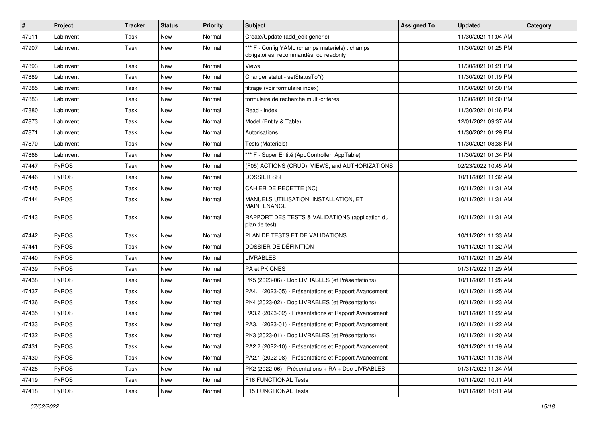| #     | <b>Project</b> | <b>Tracker</b> | <b>Status</b> | Priority | <b>Subject</b>                                                                            | <b>Assigned To</b> | <b>Updated</b>      | <b>Category</b> |
|-------|----------------|----------------|---------------|----------|-------------------------------------------------------------------------------------------|--------------------|---------------------|-----------------|
| 47911 | LabInvent      | Task           | New           | Normal   | Create/Update (add_edit generic)                                                          |                    | 11/30/2021 11:04 AM |                 |
| 47907 | LabInvent      | Task           | New           | Normal   | *** F - Config YAML (champs materiels) : champs<br>obligatoires, recommandés, ou readonly |                    | 11/30/2021 01:25 PM |                 |
| 47893 | LabInvent      | Task           | New           | Normal   | Views                                                                                     |                    | 11/30/2021 01:21 PM |                 |
| 47889 | LabInvent      | Task           | <b>New</b>    | Normal   | Changer statut - setStatusTo*()                                                           |                    | 11/30/2021 01:19 PM |                 |
| 47885 | LabInvent      | Task           | New           | Normal   | filtrage (voir formulaire index)                                                          |                    | 11/30/2021 01:30 PM |                 |
| 47883 | LabInvent      | Task           | New           | Normal   | formulaire de recherche multi-critères                                                    |                    | 11/30/2021 01:30 PM |                 |
| 47880 | LabInvent      | Task           | New           | Normal   | Read - index                                                                              |                    | 11/30/2021 01:16 PM |                 |
| 47873 | LabInvent      | Task           | New           | Normal   | Model (Entity & Table)                                                                    |                    | 12/01/2021 09:37 AM |                 |
| 47871 | LabInvent      | Task           | New           | Normal   | Autorisations                                                                             |                    | 11/30/2021 01:29 PM |                 |
| 47870 | LabInvent      | Task           | New           | Normal   | Tests (Materiels)                                                                         |                    | 11/30/2021 03:38 PM |                 |
| 47868 | LabInvent      | Task           | New           | Normal   | *** F - Super Entité (AppController, AppTable)                                            |                    | 11/30/2021 01:34 PM |                 |
| 47447 | PyROS          | Task           | New           | Normal   | (F05) ACTIONS (CRUD), VIEWS, and AUTHORIZATIONS                                           |                    | 02/23/2022 10:45 AM |                 |
| 47446 | PyROS          | Task           | New           | Normal   | <b>DOSSIER SSI</b>                                                                        |                    | 10/11/2021 11:32 AM |                 |
| 47445 | PyROS          | Task           | New           | Normal   | CAHIER DE RECETTE (NC)                                                                    |                    | 10/11/2021 11:31 AM |                 |
| 47444 | PyROS          | Task           | New           | Normal   | MANUELS UTILISATION, INSTALLATION, ET<br><b>MAINTENANCE</b>                               |                    | 10/11/2021 11:31 AM |                 |
| 47443 | PyROS          | Task           | New           | Normal   | RAPPORT DES TESTS & VALIDATIONS (application du<br>plan de test)                          |                    | 10/11/2021 11:31 AM |                 |
| 47442 | PyROS          | Task           | New           | Normal   | PLAN DE TESTS ET DE VALIDATIONS                                                           |                    | 10/11/2021 11:33 AM |                 |
| 47441 | PyROS          | Task           | New           | Normal   | DOSSIER DE DÉFINITION                                                                     |                    | 10/11/2021 11:32 AM |                 |
| 47440 | PyROS          | Task           | New           | Normal   | <b>LIVRABLES</b>                                                                          |                    | 10/11/2021 11:29 AM |                 |
| 47439 | PyROS          | Task           | New           | Normal   | PA et PK CNES                                                                             |                    | 01/31/2022 11:29 AM |                 |
| 47438 | <b>PyROS</b>   | Task           | <b>New</b>    | Normal   | PK5 (2023-06) - Doc LIVRABLES (et Présentations)                                          |                    | 10/11/2021 11:26 AM |                 |
| 47437 | PyROS          | Task           | New           | Normal   | PA4.1 (2023-05) - Présentations et Rapport Avancement                                     |                    | 10/11/2021 11:25 AM |                 |
| 47436 | PyROS          | Task           | New           | Normal   | PK4 (2023-02) - Doc LIVRABLES (et Présentations)                                          |                    | 10/11/2021 11:23 AM |                 |
| 47435 | PyROS          | Task           | New           | Normal   | PA3.2 (2023-02) - Présentations et Rapport Avancement                                     |                    | 10/11/2021 11:22 AM |                 |
| 47433 | PyROS          | Task           | New           | Normal   | PA3.1 (2023-01) - Présentations et Rapport Avancement                                     |                    | 10/11/2021 11:22 AM |                 |
| 47432 | PyROS          | Task           | New           | Normal   | PK3 (2023-01) - Doc LIVRABLES (et Présentations)                                          |                    | 10/11/2021 11:20 AM |                 |
| 47431 | PyROS          | Task           | New           | Normal   | PA2.2 (2022-10) - Présentations et Rapport Avancement                                     |                    | 10/11/2021 11:19 AM |                 |
| 47430 | PyROS          | Task           | New           | Normal   | PA2.1 (2022-08) - Présentations et Rapport Avancement                                     |                    | 10/11/2021 11:18 AM |                 |
| 47428 | PyROS          | Task           | New           | Normal   | PK2 (2022-06) - Présentations + RA + Doc LIVRABLES                                        |                    | 01/31/2022 11:34 AM |                 |
| 47419 | PyROS          | Task           | New           | Normal   | F16 FUNCTIONAL Tests                                                                      |                    | 10/11/2021 10:11 AM |                 |
| 47418 | PyROS          | Task           | New           | Normal   | F15 FUNCTIONAL Tests                                                                      |                    | 10/11/2021 10:11 AM |                 |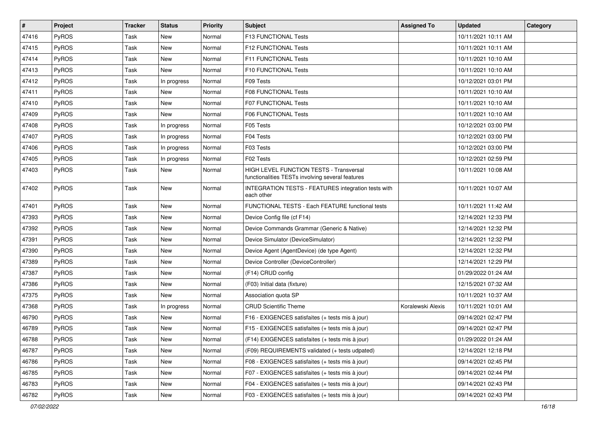| #     | Project      | <b>Tracker</b> | <b>Status</b> | <b>Priority</b> | <b>Subject</b>                                                                              | <b>Assigned To</b> | <b>Updated</b>      | Category |
|-------|--------------|----------------|---------------|-----------------|---------------------------------------------------------------------------------------------|--------------------|---------------------|----------|
| 47416 | PyROS        | Task           | New           | Normal          | F13 FUNCTIONAL Tests                                                                        |                    | 10/11/2021 10:11 AM |          |
| 47415 | PyROS        | Task           | New           | Normal          | F12 FUNCTIONAL Tests                                                                        |                    | 10/11/2021 10:11 AM |          |
| 47414 | PyROS        | Task           | New           | Normal          | F11 FUNCTIONAL Tests                                                                        |                    | 10/11/2021 10:10 AM |          |
| 47413 | PyROS        | Task           | New           | Normal          | F10 FUNCTIONAL Tests                                                                        |                    | 10/11/2021 10:10 AM |          |
| 47412 | PyROS        | Task           | In progress   | Normal          | F09 Tests                                                                                   |                    | 10/12/2021 03:01 PM |          |
| 47411 | <b>PyROS</b> | Task           | New           | Normal          | <b>F08 FUNCTIONAL Tests</b>                                                                 |                    | 10/11/2021 10:10 AM |          |
| 47410 | PyROS        | Task           | New           | Normal          | F07 FUNCTIONAL Tests                                                                        |                    | 10/11/2021 10:10 AM |          |
| 47409 | PyROS        | Task           | New           | Normal          | F06 FUNCTIONAL Tests                                                                        |                    | 10/11/2021 10:10 AM |          |
| 47408 | PyROS        | Task           | In progress   | Normal          | F05 Tests                                                                                   |                    | 10/12/2021 03:00 PM |          |
| 47407 | PyROS        | Task           | In progress   | Normal          | F04 Tests                                                                                   |                    | 10/12/2021 03:00 PM |          |
| 47406 | PyROS        | Task           | In progress   | Normal          | F03 Tests                                                                                   |                    | 10/12/2021 03:00 PM |          |
| 47405 | PyROS        | Task           | In progress   | Normal          | F02 Tests                                                                                   |                    | 10/12/2021 02:59 PM |          |
| 47403 | PyROS        | Task           | New           | Normal          | HIGH LEVEL FUNCTION TESTS - Transversal<br>functionalities TESTs involving several features |                    | 10/11/2021 10:08 AM |          |
| 47402 | PyROS        | Task           | New           | Normal          | INTEGRATION TESTS - FEATURES integration tests with<br>each other                           |                    | 10/11/2021 10:07 AM |          |
| 47401 | PyROS        | Task           | New           | Normal          | FUNCTIONAL TESTS - Each FEATURE functional tests                                            |                    | 10/11/2021 11:42 AM |          |
| 47393 | PyROS        | Task           | New           | Normal          | Device Config file (cf F14)                                                                 |                    | 12/14/2021 12:33 PM |          |
| 47392 | PyROS        | Task           | New           | Normal          | Device Commands Grammar (Generic & Native)                                                  |                    | 12/14/2021 12:32 PM |          |
| 47391 | PyROS        | Task           | New           | Normal          | Device Simulator (DeviceSimulator)                                                          |                    | 12/14/2021 12:32 PM |          |
| 47390 | PyROS        | Task           | New           | Normal          | Device Agent (AgentDevice) (de type Agent)                                                  |                    | 12/14/2021 12:32 PM |          |
| 47389 | PyROS        | Task           | New           | Normal          | Device Controller (DeviceController)                                                        |                    | 12/14/2021 12:29 PM |          |
| 47387 | PyROS        | Task           | New           | Normal          | (F14) CRUD config                                                                           |                    | 01/29/2022 01:24 AM |          |
| 47386 | PyROS        | Task           | New           | Normal          | (F03) Initial data (fixture)                                                                |                    | 12/15/2021 07:32 AM |          |
| 47375 | PyROS        | Task           | New           | Normal          | Association quota SP                                                                        |                    | 10/11/2021 10:37 AM |          |
| 47368 | PyROS        | Task           | In progress   | Normal          | <b>CRUD Scientific Theme</b>                                                                | Koralewski Alexis  | 10/11/2021 10:01 AM |          |
| 46790 | <b>PyROS</b> | Task           | New           | Normal          | F16 - EXIGENCES satisfaites (+ tests mis à jour)                                            |                    | 09/14/2021 02:47 PM |          |
| 46789 | PyROS        | Task           | <b>New</b>    | Normal          | F15 - EXIGENCES satisfaites (+ tests mis à jour)                                            |                    | 09/14/2021 02:47 PM |          |
| 46788 | PyROS        | Task           | New           | Normal          | (F14) EXIGENCES satisfaites (+ tests mis à jour)                                            |                    | 01/29/2022 01:24 AM |          |
| 46787 | PyROS        | Task           | New           | Normal          | (F09) REQUIREMENTS validated (+ tests udpated)                                              |                    | 12/14/2021 12:18 PM |          |
| 46786 | PyROS        | Task           | New           | Normal          | F08 - EXIGENCES satisfaites (+ tests mis à jour)                                            |                    | 09/14/2021 02:45 PM |          |
| 46785 | PyROS        | Task           | New           | Normal          | F07 - EXIGENCES satisfaites (+ tests mis à jour)                                            |                    | 09/14/2021 02:44 PM |          |
| 46783 | PyROS        | Task           | New           | Normal          | F04 - EXIGENCES satisfaites (+ tests mis à jour)                                            |                    | 09/14/2021 02:43 PM |          |
| 46782 | PyROS        | Task           | New           | Normal          | F03 - EXIGENCES satisfaites (+ tests mis à jour)                                            |                    | 09/14/2021 02:43 PM |          |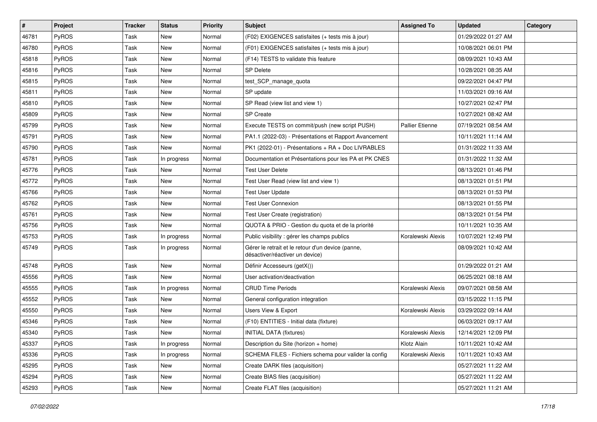| $\vert$ # | Project      | <b>Tracker</b> | <b>Status</b> | <b>Priority</b> | Subject                                                                              | <b>Assigned To</b>     | <b>Updated</b>      | Category |
|-----------|--------------|----------------|---------------|-----------------|--------------------------------------------------------------------------------------|------------------------|---------------------|----------|
| 46781     | PyROS        | Task           | New           | Normal          | (F02) EXIGENCES satisfaites (+ tests mis à jour)                                     |                        | 01/29/2022 01:27 AM |          |
| 46780     | PyROS        | Task           | New           | Normal          | (F01) EXIGENCES satisfaites (+ tests mis à jour)                                     |                        | 10/08/2021 06:01 PM |          |
| 45818     | PyROS        | Task           | New           | Normal          | (F14) TESTS to validate this feature                                                 |                        | 08/09/2021 10:43 AM |          |
| 45816     | PyROS        | Task           | New           | Normal          | <b>SP Delete</b>                                                                     |                        | 10/28/2021 08:35 AM |          |
| 45815     | PyROS        | Task           | New           | Normal          | test_SCP_manage_quota                                                                |                        | 09/22/2021 04:47 PM |          |
| 45811     | PyROS        | Task           | New           | Normal          | SP update                                                                            |                        | 11/03/2021 09:16 AM |          |
| 45810     | PyROS        | Task           | New           | Normal          | SP Read (view list and view 1)                                                       |                        | 10/27/2021 02:47 PM |          |
| 45809     | PyROS        | Task           | New           | Normal          | <b>SP Create</b>                                                                     |                        | 10/27/2021 08:42 AM |          |
| 45799     | PyROS        | Task           | New           | Normal          | Execute TESTS on commit/push (new script PUSH)                                       | <b>Pallier Etienne</b> | 07/19/2021 08:54 AM |          |
| 45791     | PyROS        | Task           | New           | Normal          | PA1.1 (2022-03) - Présentations et Rapport Avancement                                |                        | 10/11/2021 11:14 AM |          |
| 45790     | PyROS        | Task           | New           | Normal          | PK1 (2022-01) - Présentations + RA + Doc LIVRABLES                                   |                        | 01/31/2022 11:33 AM |          |
| 45781     | PyROS        | Task           | In progress   | Normal          | Documentation et Présentations pour les PA et PK CNES                                |                        | 01/31/2022 11:32 AM |          |
| 45776     | PyROS        | Task           | New           | Normal          | <b>Test User Delete</b>                                                              |                        | 08/13/2021 01:46 PM |          |
| 45772     | PyROS        | Task           | New           | Normal          | Test User Read (view list and view 1)                                                |                        | 08/13/2021 01:51 PM |          |
| 45766     | PyROS        | Task           | New           | Normal          | <b>Test User Update</b>                                                              |                        | 08/13/2021 01:53 PM |          |
| 45762     | <b>PyROS</b> | Task           | New           | Normal          | <b>Test User Connexion</b>                                                           |                        | 08/13/2021 01:55 PM |          |
| 45761     | PyROS        | Task           | New           | Normal          | Test User Create (registration)                                                      |                        | 08/13/2021 01:54 PM |          |
| 45756     | PyROS        | Task           | New           | Normal          | QUOTA & PRIO - Gestion du quota et de la priorité                                    |                        | 10/11/2021 10:35 AM |          |
| 45753     | PyROS        | Task           | In progress   | Normal          | Public visibility : gérer les champs publics                                         | Koralewski Alexis      | 10/07/2021 12:49 PM |          |
| 45749     | PyROS        | Task           | In progress   | Normal          | Gérer le retrait et le retour d'un device (panne,<br>désactiver/réactiver un device) |                        | 08/09/2021 10:42 AM |          |
| 45748     | PyROS        | Task           | New           | Normal          | Définir Accesseurs (getX())                                                          |                        | 01/29/2022 01:21 AM |          |
| 45556     | PyROS        | Task           | New           | Normal          | User activation/deactivation                                                         |                        | 06/25/2021 08:18 AM |          |
| 45555     | PyROS        | Task           | In progress   | Normal          | <b>CRUD Time Periods</b>                                                             | Koralewski Alexis      | 09/07/2021 08:58 AM |          |
| 45552     | PyROS        | Task           | New           | Normal          | General configuration integration                                                    |                        | 03/15/2022 11:15 PM |          |
| 45550     | PyROS        | Task           | New           | Normal          | Users View & Export                                                                  | Koralewski Alexis      | 03/29/2022 09:14 AM |          |
| 45346     | PyROS        | Task           | New           | Normal          | (F10) ENTITIES - Initial data (fixture)                                              |                        | 06/03/2021 09:17 AM |          |
| 45340     | PyROS        | Task           | New           | Normal          | <b>INITIAL DATA (fixtures)</b>                                                       | Koralewski Alexis      | 12/14/2021 12:09 PM |          |
| 45337     | PyROS        | Task           | In progress   | Normal          | Description du Site (horizon + home)                                                 | Klotz Alain            | 10/11/2021 10:42 AM |          |
| 45336     | PyROS        | Task           | In progress   | Normal          | SCHEMA FILES - Fichiers schema pour valider la config                                | Koralewski Alexis      | 10/11/2021 10:43 AM |          |
| 45295     | PyROS        | Task           | New           | Normal          | Create DARK files (acquisition)                                                      |                        | 05/27/2021 11:22 AM |          |
| 45294     | PyROS        | Task           | New           | Normal          | Create BIAS files (acquisition)                                                      |                        | 05/27/2021 11:22 AM |          |
| 45293     | PyROS        | Task           | New           | Normal          | Create FLAT files (acquisition)                                                      |                        | 05/27/2021 11:21 AM |          |